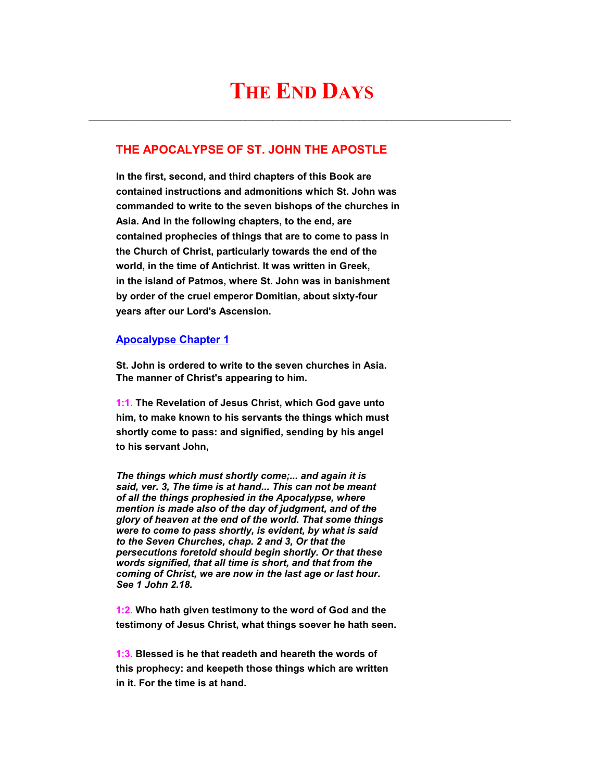# **THE END DAYS**

 $\mathcal{L}_\text{max} = \mathcal{L}_\text{max} = \mathcal{L}_\text{max} = \mathcal{L}_\text{max} = \mathcal{L}_\text{max} = \mathcal{L}_\text{max} = \mathcal{L}_\text{max} = \mathcal{L}_\text{max} = \mathcal{L}_\text{max} = \mathcal{L}_\text{max} = \mathcal{L}_\text{max} = \mathcal{L}_\text{max} = \mathcal{L}_\text{max} = \mathcal{L}_\text{max} = \mathcal{L}_\text{max} = \mathcal{L}_\text{max} = \mathcal{L}_\text{max} = \mathcal{L}_\text{max} = \mathcal{$ 

## **THE APOCALYPSE OF ST. JOHN THE APOSTLE**

 **In the first, second, and third chapters of this Book are contained instructions and admonitions which St. John was commanded to write to the seven bishops of the churches in Asia. And in the following chapters, to the end, are contained prophecies of things that are to come to pass in the Church of Christ, particularly towards the end of the world, in the time of Antichrist. It was written in Greek, in the island of Patmos, where St. John was in banishment by order of the cruel emperor Domitian, about sixty-four years after our Lord's Ascension.**

### **Apocalypse Chapter 1**

 **St. John is ordered to write to the seven churches in Asia. The manner of Christ's appearing to him.**

 **1:1. The Revelation of Jesus Christ, which God gave unto him, to make known to his servants the things which must shortly come to pass: and signified, sending by his angel to his servant John,**

*The things which must shortly come;... and again it is said, ver. 3, The time is at hand... This can not be meant of all the things prophesied in the Apocalypse, where mention is made also of the day of judgment, and of the glory of heaven at the end of the world. That some things were to come to pass shortly, is evident, by what is said to the Seven Churches, chap. 2 and 3, Or that the persecutions foretold should begin shortly. Or that these words signified, that all time is short, and that from the coming of Christ, we are now in the last age or last hour. See 1 John 2.18.*

 **1:2. Who hath given testimony to the word of God and the testimony of Jesus Christ, what things soever he hath seen.**

 **1:3. Blessed is he that readeth and heareth the words of this prophecy: and keepeth those things which are written in it. For the time is at hand.**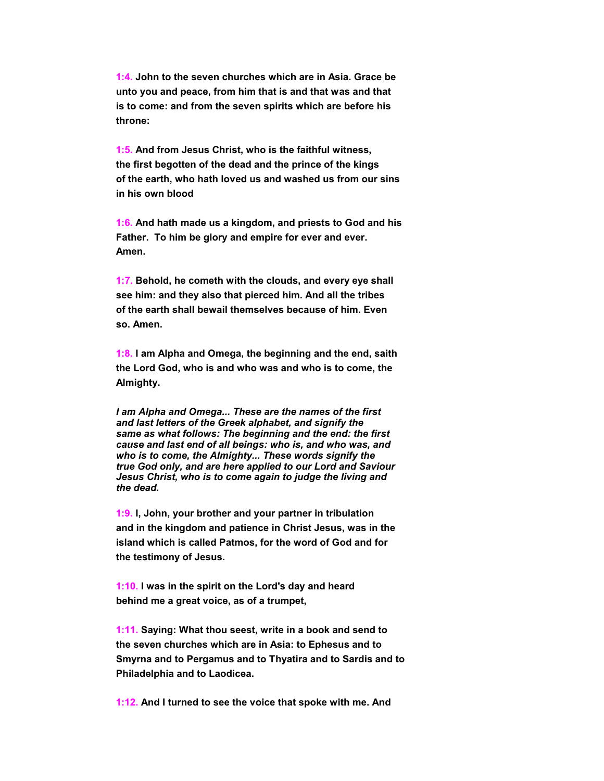**1:4. John to the seven churches which are in Asia. Grace be unto you and peace, from him that is and that was and that is to come: and from the seven spirits which are before his throne:**

 **1:5. And from Jesus Christ, who is the faithful witness, the first begotten of the dead and the prince of the kings of the earth, who hath loved us and washed us from our sins in his own blood**

 **1:6. And hath made us a kingdom, and priests to God and his Father. To him be glory and empire for ever and ever. Amen.**

 **1:7. Behold, he cometh with the clouds, and every eye shall see him: and they also that pierced him. And all the tribes of the earth shall bewail themselves because of him. Even so. Amen.**

 **1:8. I am Alpha and Omega, the beginning and the end, saith the Lord God, who is and who was and who is to come, the Almighty.**

*I am Alpha and Omega... These are the names of the first and last letters of the Greek alphabet, and signify the same as what follows: The beginning and the end: the first cause and last end of all beings: who is, and who was, and who is to come, the Almighty... These words signify the true God only, and are here applied to our Lord and Saviour Jesus Christ, who is to come again to judge the living and the dead.*

 **1:9. I, John, your brother and your partner in tribulation and in the kingdom and patience in Christ Jesus, was in the island which is called Patmos, for the word of God and for the testimony of Jesus.**

 **1:10. I was in the spirit on the Lord's day and heard behind me a great voice, as of a trumpet,**

 **1:11. Saying: What thou seest, write in a book and send to the seven churches which are in Asia: to Ephesus and to Smyrna and to Pergamus and to Thyatira and to Sardis and to Philadelphia and to Laodicea.**

 **1:12. And I turned to see the voice that spoke with me. And**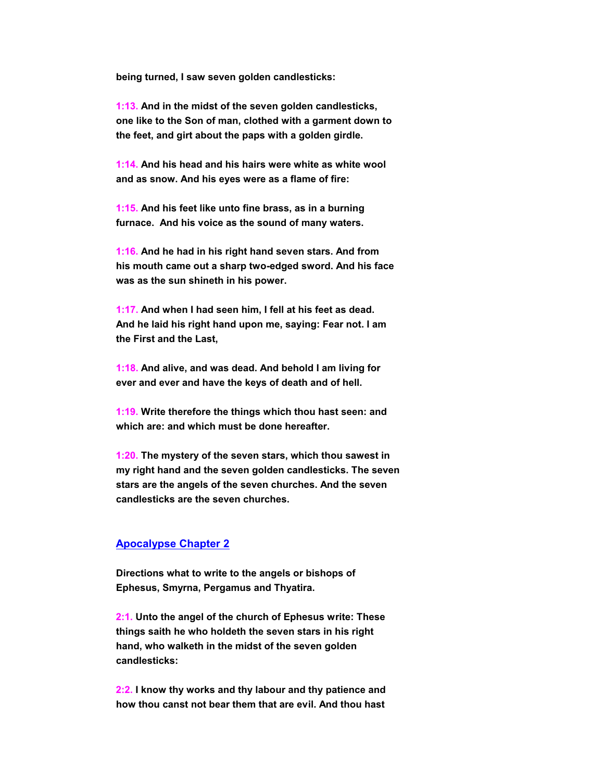**being turned, I saw seven golden candlesticks:**

 **1:13. And in the midst of the seven golden candlesticks, one like to the Son of man, clothed with a garment down to the feet, and girt about the paps with a golden girdle.**

 **1:14. And his head and his hairs were white as white wool and as snow. And his eyes were as a flame of fire:**

 **1:15. And his feet like unto fine brass, as in a burning furnace. And his voice as the sound of many waters.**

 **1:16. And he had in his right hand seven stars. And from his mouth came out a sharp two-edged sword. And his face was as the sun shineth in his power.**

 **1:17. And when I had seen him, I fell at his feet as dead. And he laid his right hand upon me, saying: Fear not. I am the First and the Last,**

 **1:18. And alive, and was dead. And behold I am living for ever and ever and have the keys of death and of hell.**

 **1:19. Write therefore the things which thou hast seen: and which are: and which must be done hereafter.**

 **1:20. The mystery of the seven stars, which thou sawest in my right hand and the seven golden candlesticks. The seven stars are the angels of the seven churches. And the seven candlesticks are the seven churches.**

#### **Apocalypse Chapter 2**

 **Directions what to write to the angels or bishops of Ephesus, Smyrna, Pergamus and Thyatira.**

 **2:1. Unto the angel of the church of Ephesus write: These things saith he who holdeth the seven stars in his right hand, who walketh in the midst of the seven golden candlesticks:**

 **2:2. I know thy works and thy labour and thy patience and how thou canst not bear them that are evil. And thou hast**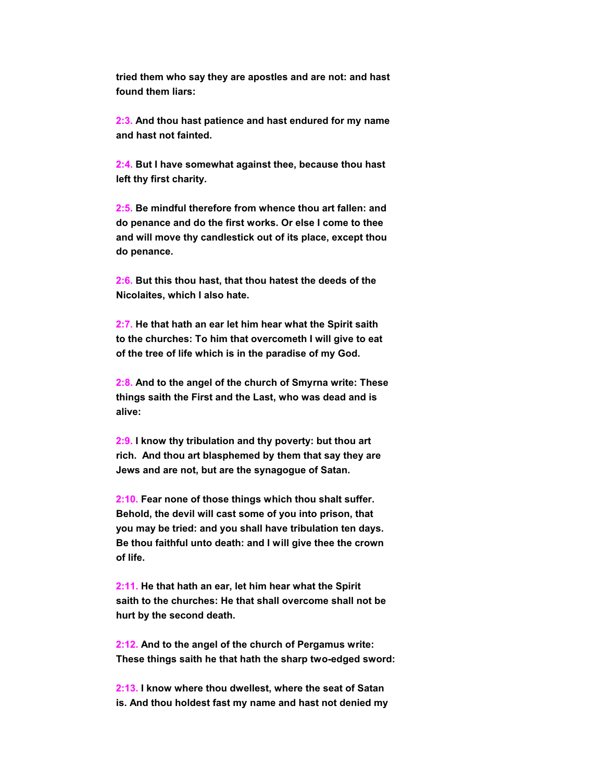**tried them who say they are apostles and are not: and hast found them liars:**

 **2:3. And thou hast patience and hast endured for my name and hast not fainted.**

 **2:4. But I have somewhat against thee, because thou hast left thy first charity.**

 **2:5. Be mindful therefore from whence thou art fallen: and do penance and do the first works. Or else I come to thee and will move thy candlestick out of its place, except thou do penance.**

 **2:6. But this thou hast, that thou hatest the deeds of the Nicolaites, which I also hate.**

 **2:7. He that hath an ear let him hear what the Spirit saith to the churches: To him that overcometh I will give to eat of the tree of life which is in the paradise of my God.**

 **2:8. And to the angel of the church of Smyrna write: These things saith the First and the Last, who was dead and is alive:**

 **2:9. I know thy tribulation and thy poverty: but thou art rich. And thou art blasphemed by them that say they are Jews and are not, but are the synagogue of Satan.**

 **2:10. Fear none of those things which thou shalt suffer. Behold, the devil will cast some of you into prison, that you may be tried: and you shall have tribulation ten days. Be thou faithful unto death: and I will give thee the crown of life.**

 **2:11. He that hath an ear, let him hear what the Spirit saith to the churches: He that shall overcome shall not be hurt by the second death.**

 **2:12. And to the angel of the church of Pergamus write: These things saith he that hath the sharp two-edged sword:**

 **2:13. I know where thou dwellest, where the seat of Satan is. And thou holdest fast my name and hast not denied my**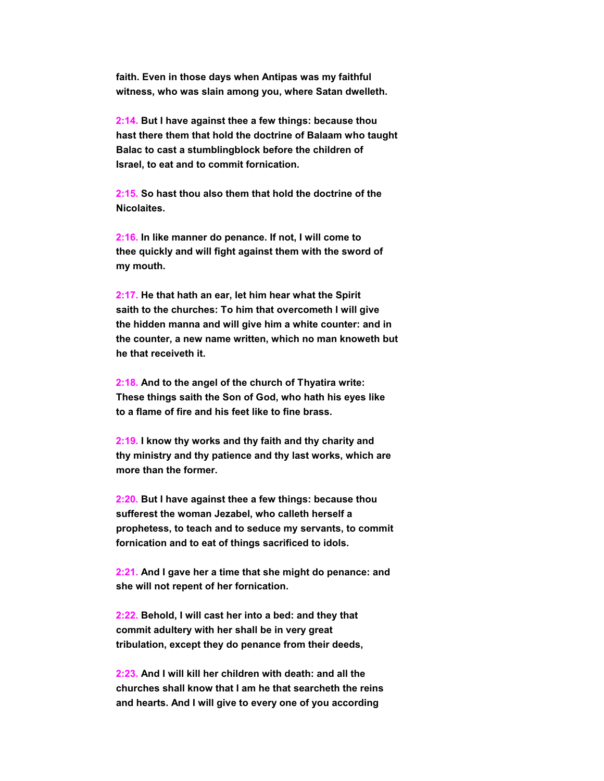**faith. Even in those days when Antipas was my faithful witness, who was slain among you, where Satan dwelleth.**

 **2:14. But I have against thee a few things: because thou hast there them that hold the doctrine of Balaam who taught Balac to cast a stumblingblock before the children of Israel, to eat and to commit fornication.**

 **2:15. So hast thou also them that hold the doctrine of the Nicolaites.**

 **2:16. In like manner do penance. If not, I will come to thee quickly and will fight against them with the sword of my mouth.**

 **2:17. He that hath an ear, let him hear what the Spirit saith to the churches: To him that overcometh I will give the hidden manna and will give him a white counter: and in the counter, a new name written, which no man knoweth but he that receiveth it.**

 **2:18. And to the angel of the church of Thyatira write: These things saith the Son of God, who hath his eyes like to a flame of fire and his feet like to fine brass.**

 **2:19. I know thy works and thy faith and thy charity and thy ministry and thy patience and thy last works, which are more than the former.**

 **2:20. But I have against thee a few things: because thou sufferest the woman Jezabel, who calleth herself a prophetess, to teach and to seduce my servants, to commit fornication and to eat of things sacrificed to idols.**

 **2:21. And I gave her a time that she might do penance: and she will not repent of her fornication.**

 **2:22. Behold, I will cast her into a bed: and they that commit adultery with her shall be in very great tribulation, except they do penance from their deeds,**

 **2:23. And I will kill her children with death: and all the churches shall know that I am he that searcheth the reins and hearts. And I will give to every one of you according**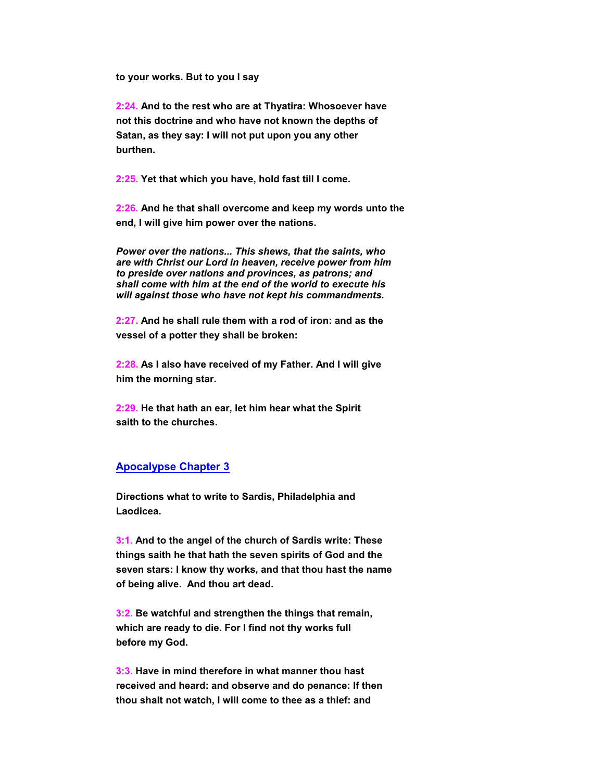**to your works. But to you I say**

 **2:24. And to the rest who are at Thyatira: Whosoever have not this doctrine and who have not known the depths of Satan, as they say: I will not put upon you any other burthen.**

 **2:25. Yet that which you have, hold fast till I come.**

 **2:26. And he that shall overcome and keep my words unto the end, I will give him power over the nations.**

*Power over the nations... This shews, that the saints, who are with Christ our Lord in heaven, receive power from him to preside over nations and provinces, as patrons; and shall come with him at the end of the world to execute his will against those who have not kept his commandments.*

 **2:27. And he shall rule them with a rod of iron: and as the vessel of a potter they shall be broken:**

 **2:28. As I also have received of my Father. And I will give him the morning star.**

 **2:29. He that hath an ear, let him hear what the Spirit saith to the churches.**

#### **Apocalypse Chapter 3**

 **Directions what to write to Sardis, Philadelphia and Laodicea.**

 **3:1. And to the angel of the church of Sardis write: These things saith he that hath the seven spirits of God and the seven stars: I know thy works, and that thou hast the name of being alive. And thou art dead.**

 **3:2. Be watchful and strengthen the things that remain, which are ready to die. For I find not thy works full before my God.**

 **3:3. Have in mind therefore in what manner thou hast received and heard: and observe and do penance: If then thou shalt not watch, I will come to thee as a thief: and**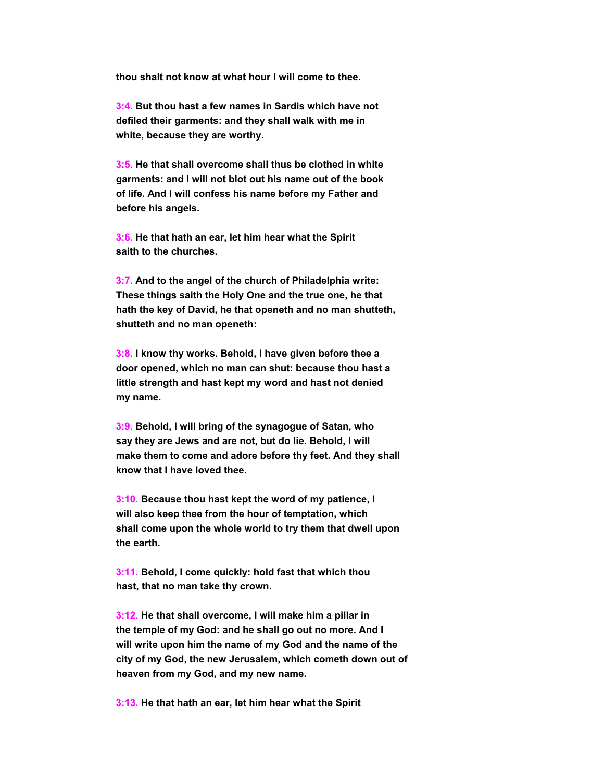**thou shalt not know at what hour I will come to thee.**

 **3:4. But thou hast a few names in Sardis which have not defiled their garments: and they shall walk with me in white, because they are worthy.**

 **3:5. He that shall overcome shall thus be clothed in white garments: and I will not blot out his name out of the book of life. And I will confess his name before my Father and before his angels.**

 **3:6. He that hath an ear, let him hear what the Spirit saith to the churches.**

 **3:7. And to the angel of the church of Philadelphia write: These things saith the Holy One and the true one, he that hath the key of David, he that openeth and no man shutteth, shutteth and no man openeth:**

 **3:8. I know thy works. Behold, I have given before thee a door opened, which no man can shut: because thou hast a little strength and hast kept my word and hast not denied my name.**

 **3:9. Behold, I will bring of the synagogue of Satan, who say they are Jews and are not, but do lie. Behold, I will make them to come and adore before thy feet. And they shall know that I have loved thee.**

 **3:10. Because thou hast kept the word of my patience, I will also keep thee from the hour of temptation, which shall come upon the whole world to try them that dwell upon the earth.**

 **3:11. Behold, I come quickly: hold fast that which thou hast, that no man take thy crown.**

 **3:12. He that shall overcome, I will make him a pillar in the temple of my God: and he shall go out no more. And I will write upon him the name of my God and the name of the city of my God, the new Jerusalem, which cometh down out of heaven from my God, and my new name.**

 **3:13. He that hath an ear, let him hear what the Spirit**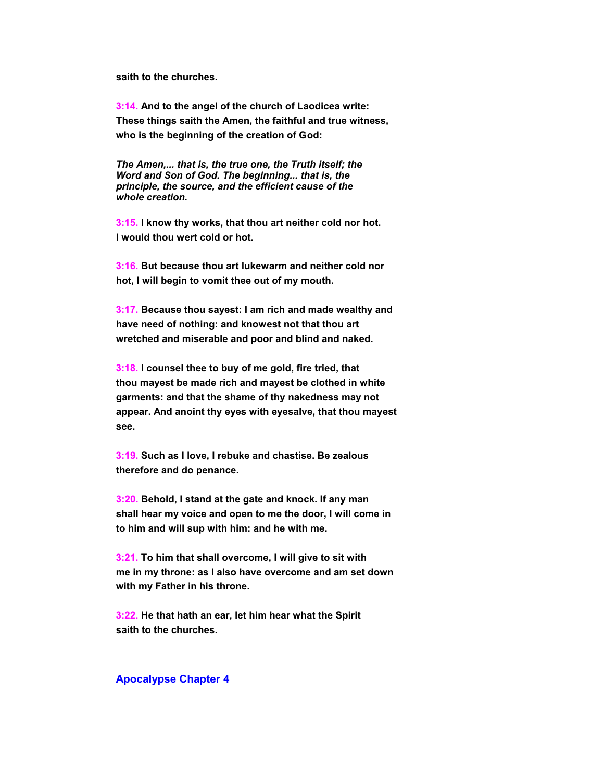**saith to the churches.**

 **3:14. And to the angel of the church of Laodicea write: These things saith the Amen, the faithful and true witness, who is the beginning of the creation of God:**

*The Amen,... that is, the true one, the Truth itself; the Word and Son of God. The beginning... that is, the principle, the source, and the efficient cause of the whole creation.*

 **3:15. I know thy works, that thou art neither cold nor hot. I would thou wert cold or hot.**

 **3:16. But because thou art lukewarm and neither cold nor hot, I will begin to vomit thee out of my mouth.**

 **3:17. Because thou sayest: I am rich and made wealthy and have need of nothing: and knowest not that thou art wretched and miserable and poor and blind and naked.**

 **3:18. I counsel thee to buy of me gold, fire tried, that thou mayest be made rich and mayest be clothed in white garments: and that the shame of thy nakedness may not appear. And anoint thy eyes with eyesalve, that thou mayest see.**

 **3:19. Such as I love, I rebuke and chastise. Be zealous therefore and do penance.**

 **3:20. Behold, I stand at the gate and knock. If any man shall hear my voice and open to me the door, I will come in to him and will sup with him: and he with me.**

 **3:21. To him that shall overcome, I will give to sit with me in my throne: as I also have overcome and am set down with my Father in his throne.**

 **3:22. He that hath an ear, let him hear what the Spirit saith to the churches.**

#### **Apocalypse Chapter 4**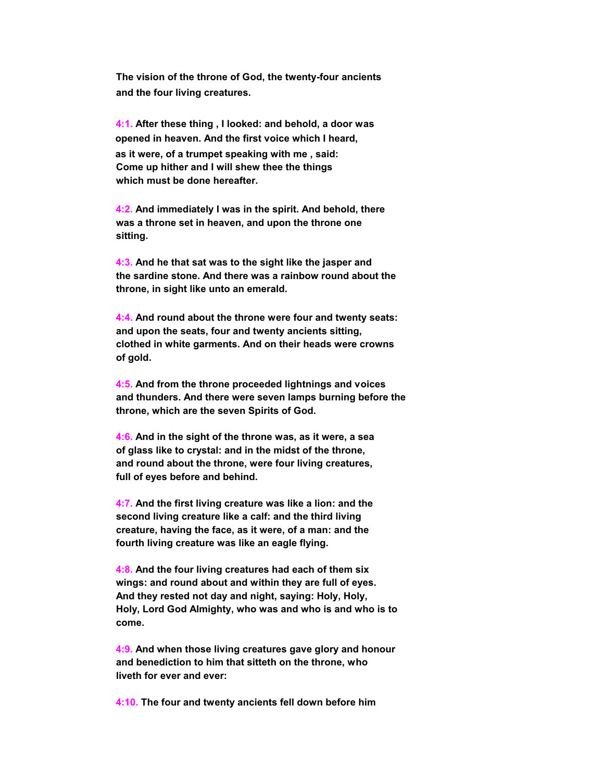**The vision of the throne of God, the twenty-four ancients and the four living creatures.**

 **4:1. After these thing , I looked: and behold, a door was opened in heaven. And the first voice which I heard, as it were, of a trumpet speaking with me , said: Come up hither and I will shew thee the things which must be done hereafter.**

 **4:2. And immediately I was in the spirit. And behold, there was a throne set in heaven, and upon the throne one sitting.**

 **4:3. And he that sat was to the sight like the jasper and the sardine stone. And there was a rainbow round about the throne, in sight like unto an emerald.**

 **4:4. And round about the throne were four and twenty seats: and upon the seats, four and twenty ancients sitting, clothed in white garments. And on their heads were crowns of gold.**

 **4:5. And from the throne proceeded lightnings and voices and thunders. And there were seven lamps burning before the throne, which are the seven Spirits of God.**

 **4:6. And in the sight of the throne was, as it were, a sea of glass like to crystal: and in the midst of the throne, and round about the throne, were four living creatures, full of eyes before and behind.**

 **4:7. And the first living creature was like a lion: and the second living creature like a calf: and the third living creature, having the face, as it were, of a man: and the fourth living creature was like an eagle flying.**

 **4:8. And the four living creatures had each of them six wings: and round about and within they are full of eyes. And they rested not day and night, saying: Holy, Holy, Holy, Lord God Almighty, who was and who is and who is to come.**

 **4:9. And when those living creatures gave glory and honour and benediction to him that sitteth on the throne, who liveth for ever and ever:**

 **4:10. The four and twenty ancients fell down before him**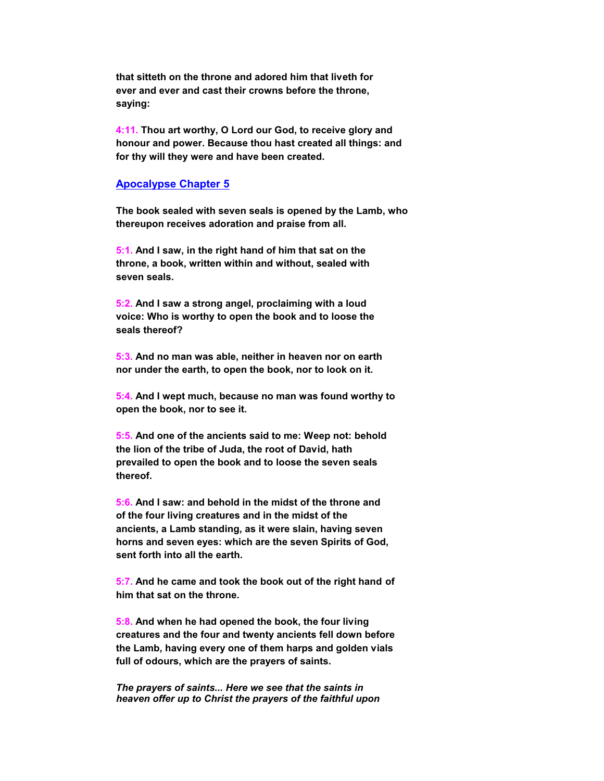**that sitteth on the throne and adored him that liveth for ever and ever and cast their crowns before the throne, saying:**

 **4:11. Thou art worthy, O Lord our God, to receive glory and honour and power. Because thou hast created all things: and for thy will they were and have been created.**

#### **Apocalypse Chapter 5**

 **The book sealed with seven seals is opened by the Lamb, who thereupon receives adoration and praise from all.**

 **5:1. And I saw, in the right hand of him that sat on the throne, a book, written within and without, sealed with seven seals.**

 **5:2. And I saw a strong angel, proclaiming with a loud voice: Who is worthy to open the book and to loose the seals thereof?**

 **5:3. And no man was able, neither in heaven nor on earth nor under the earth, to open the book, nor to look on it.**

 **5:4. And I wept much, because no man was found worthy to open the book, nor to see it.**

 **5:5. And one of the ancients said to me: Weep not: behold the lion of the tribe of Juda, the root of David, hath prevailed to open the book and to loose the seven seals thereof.**

 **5:6. And I saw: and behold in the midst of the throne and of the four living creatures and in the midst of the ancients, a Lamb standing, as it were slain, having seven horns and seven eyes: which are the seven Spirits of God, sent forth into all the earth.**

 **5:7. And he came and took the book out of the right hand of him that sat on the throne.**

 **5:8. And when he had opened the book, the four living creatures and the four and twenty ancients fell down before the Lamb, having every one of them harps and golden vials full of odours, which are the prayers of saints.**

*The prayers of saints... Here we see that the saints in heaven offer up to Christ the prayers of the faithful upon*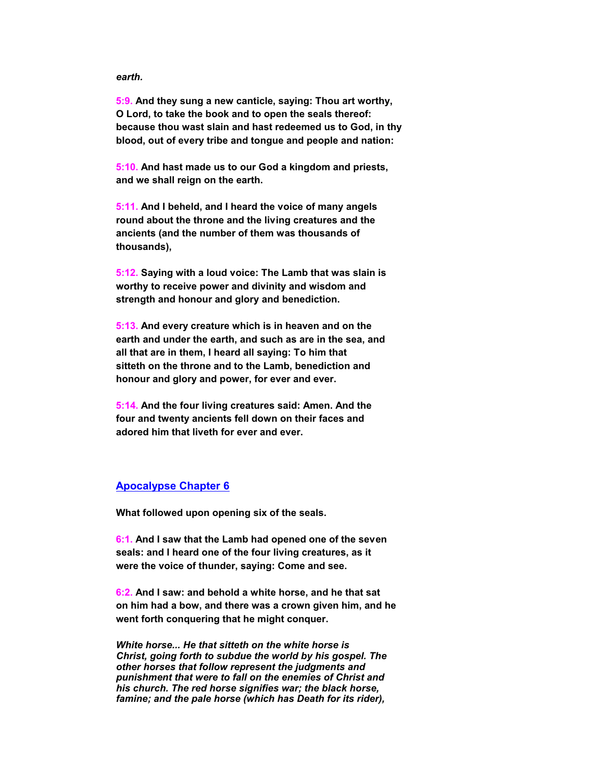#### *earth.*

 **5:9. And they sung a new canticle, saying: Thou art worthy, O Lord, to take the book and to open the seals thereof: because thou wast slain and hast redeemed us to God, in thy blood, out of every tribe and tongue and people and nation:**

 **5:10. And hast made us to our God a kingdom and priests, and we shall reign on the earth.**

 **5:11. And I beheld, and I heard the voice of many angels round about the throne and the living creatures and the ancients (and the number of them was thousands of thousands),**

 **5:12. Saying with a loud voice: The Lamb that was slain is worthy to receive power and divinity and wisdom and strength and honour and glory and benediction.**

 **5:13. And every creature which is in heaven and on the earth and under the earth, and such as are in the sea, and all that are in them, I heard all saying: To him that sitteth on the throne and to the Lamb, benediction and honour and glory and power, for ever and ever.**

 **5:14. And the four living creatures said: Amen. And the four and twenty ancients fell down on their faces and adored him that liveth for ever and ever.**

#### **Apocalypse Chapter 6**

 **What followed upon opening six of the seals.**

 **6:1. And I saw that the Lamb had opened one of the seven seals: and I heard one of the four living creatures, as it were the voice of thunder, saying: Come and see.**

 **6:2. And I saw: and behold a white horse, and he that sat on him had a bow, and there was a crown given him, and he went forth conquering that he might conquer.**

*White horse... He that sitteth on the white horse is Christ, going forth to subdue the world by his gospel. The other horses that follow represent the judgments and punishment that were to fall on the enemies of Christ and his church. The red horse signifies war; the black horse, famine; and the pale horse (which has Death for its rider),*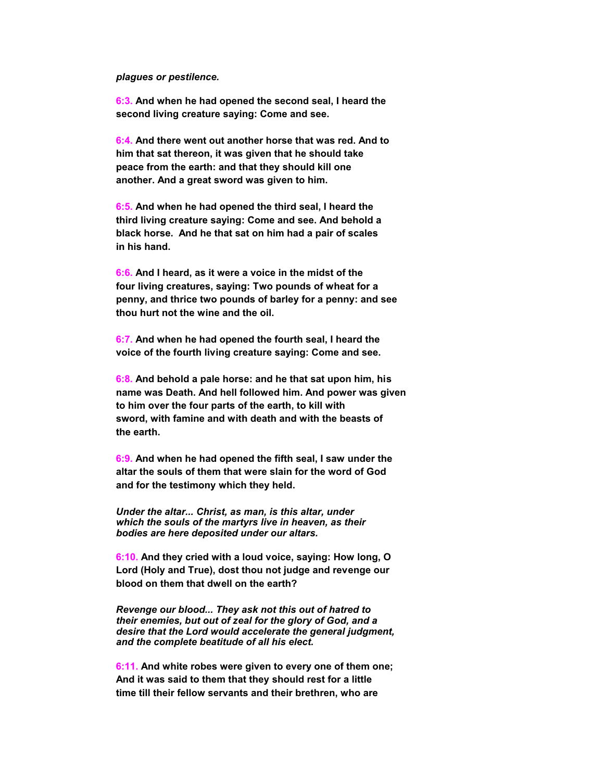#### *plagues or pestilence.*

 **6:3. And when he had opened the second seal, I heard the second living creature saying: Come and see.**

 **6:4. And there went out another horse that was red. And to him that sat thereon, it was given that he should take peace from the earth: and that they should kill one another. And a great sword was given to him.**

 **6:5. And when he had opened the third seal, I heard the third living creature saying: Come and see. And behold a black horse. And he that sat on him had a pair of scales in his hand.**

 **6:6. And I heard, as it were a voice in the midst of the four living creatures, saying: Two pounds of wheat for a penny, and thrice two pounds of barley for a penny: and see thou hurt not the wine and the oil.**

 **6:7. And when he had opened the fourth seal, I heard the voice of the fourth living creature saying: Come and see.**

 **6:8. And behold a pale horse: and he that sat upon him, his name was Death. And hell followed him. And power was given to him over the four parts of the earth, to kill with sword, with famine and with death and with the beasts of the earth.**

 **6:9. And when he had opened the fifth seal, I saw under the altar the souls of them that were slain for the word of God and for the testimony which they held.**

*Under the altar... Christ, as man, is this altar, under which the souls of the martyrs live in heaven, as their bodies are here deposited under our altars.*

 **6:10. And they cried with a loud voice, saying: How long, O Lord (Holy and True), dost thou not judge and revenge our blood on them that dwell on the earth?**

*Revenge our blood... They ask not this out of hatred to their enemies, but out of zeal for the glory of God, and a desire that the Lord would accelerate the general judgment, and the complete beatitude of all his elect.*

 **6:11. And white robes were given to every one of them one; And it was said to them that they should rest for a little time till their fellow servants and their brethren, who are**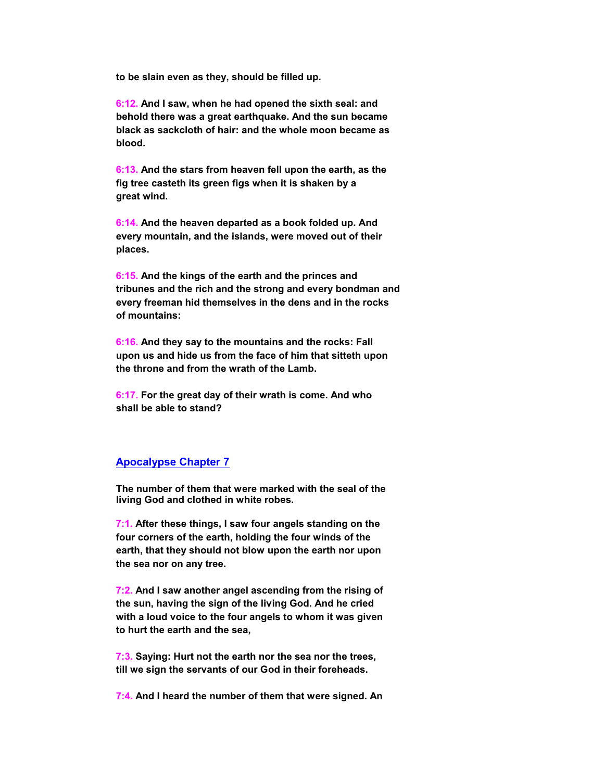**to be slain even as they, should be filled up.**

 **6:12. And I saw, when he had opened the sixth seal: and behold there was a great earthquake. And the sun became black as sackcloth of hair: and the whole moon became as blood.**

 **6:13. And the stars from heaven fell upon the earth, as the fig tree casteth its green figs when it is shaken by a great wind.**

 **6:14. And the heaven departed as a book folded up. And every mountain, and the islands, were moved out of their places.**

 **6:15. And the kings of the earth and the princes and tribunes and the rich and the strong and every bondman and every freeman hid themselves in the dens and in the rocks of mountains:**

 **6:16. And they say to the mountains and the rocks: Fall upon us and hide us from the face of him that sitteth upon the throne and from the wrath of the Lamb.**

 **6:17. For the great day of their wrath is come. And who shall be able to stand?**

## **Apocalypse Chapter 7**

 **The number of them that were marked with the seal of the living God and clothed in white robes.**

 **7:1. After these things, I saw four angels standing on the four corners of the earth, holding the four winds of the earth, that they should not blow upon the earth nor upon the sea nor on any tree.**

 **7:2. And I saw another angel ascending from the rising of the sun, having the sign of the living God. And he cried with a loud voice to the four angels to whom it was given to hurt the earth and the sea,**

 **7:3. Saying: Hurt not the earth nor the sea nor the trees, till we sign the servants of our God in their foreheads.**

 **7:4. And I heard the number of them that were signed. An**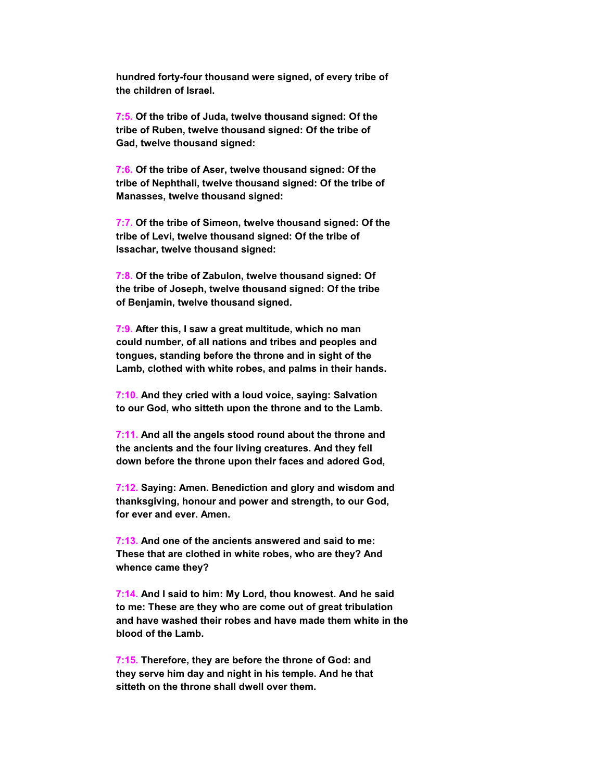**hundred forty-four thousand were signed, of every tribe of the children of Israel.**

 **7:5. Of the tribe of Juda, twelve thousand signed: Of the tribe of Ruben, twelve thousand signed: Of the tribe of Gad, twelve thousand signed:**

 **7:6. Of the tribe of Aser, twelve thousand signed: Of the tribe of Nephthali, twelve thousand signed: Of the tribe of Manasses, twelve thousand signed:**

 **7:7. Of the tribe of Simeon, twelve thousand signed: Of the tribe of Levi, twelve thousand signed: Of the tribe of Issachar, twelve thousand signed:**

 **7:8. Of the tribe of Zabulon, twelve thousand signed: Of the tribe of Joseph, twelve thousand signed: Of the tribe of Benjamin, twelve thousand signed.**

 **7:9. After this, I saw a great multitude, which no man could number, of all nations and tribes and peoples and tongues, standing before the throne and in sight of the Lamb, clothed with white robes, and palms in their hands.**

 **7:10. And they cried with a loud voice, saying: Salvation to our God, who sitteth upon the throne and to the Lamb.**

 **7:11. And all the angels stood round about the throne and the ancients and the four living creatures. And they fell down before the throne upon their faces and adored God,**

 **7:12. Saying: Amen. Benediction and glory and wisdom and thanksgiving, honour and power and strength, to our God, for ever and ever. Amen.**

 **7:13. And one of the ancients answered and said to me: These that are clothed in white robes, who are they? And whence came they?**

 **7:14. And I said to him: My Lord, thou knowest. And he said to me: These are they who are come out of great tribulation and have washed their robes and have made them white in the blood of the Lamb.**

 **7:15. Therefore, they are before the throne of God: and they serve him day and night in his temple. And he that sitteth on the throne shall dwell over them.**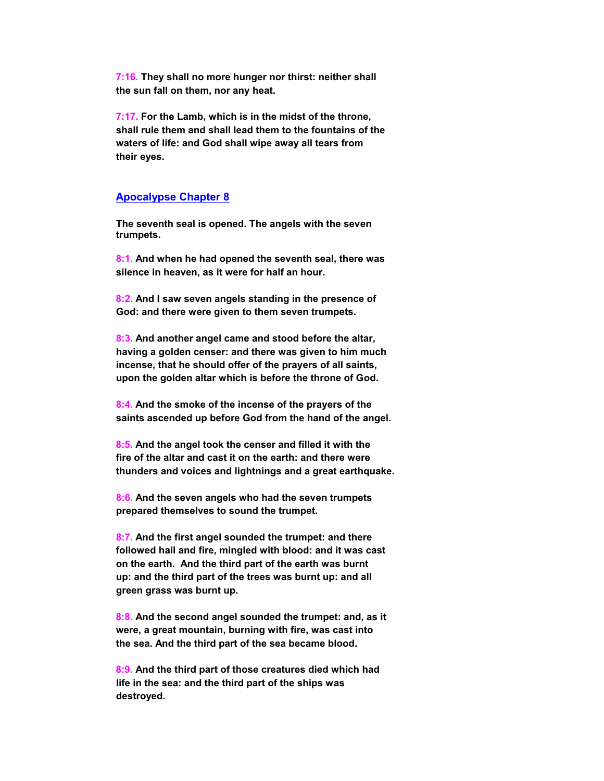**7:16. They shall no more hunger nor thirst: neither shall the sun fall on them, nor any heat.**

 **7:17. For the Lamb, which is in the midst of the throne, shall rule them and shall lead them to the fountains of the waters of life: and God shall wipe away all tears from their eyes.**

#### **Apocalypse Chapter 8**

 **The seventh seal is opened. The angels with the seven trumpets.**

 **8:1. And when he had opened the seventh seal, there was silence in heaven, as it were for half an hour.**

 **8:2. And I saw seven angels standing in the presence of God: and there were given to them seven trumpets.**

 **8:3. And another angel came and stood before the altar, having a golden censer: and there was given to him much incense, that he should offer of the prayers of all saints, upon the golden altar which is before the throne of God.**

 **8:4. And the smoke of the incense of the prayers of the saints ascended up before God from the hand of the angel.**

 **8:5. And the angel took the censer and filled it with the fire of the altar and cast it on the earth: and there were thunders and voices and lightnings and a great earthquake.**

 **8:6. And the seven angels who had the seven trumpets prepared themselves to sound the trumpet.**

 **8:7. And the first angel sounded the trumpet: and there followed hail and fire, mingled with blood: and it was cast on the earth. And the third part of the earth was burnt up: and the third part of the trees was burnt up: and all green grass was burnt up.**

 **8:8. And the second angel sounded the trumpet: and, as it were, a great mountain, burning with fire, was cast into the sea. And the third part of the sea became blood.**

 **8:9. And the third part of those creatures died which had life in the sea: and the third part of the ships was destroyed.**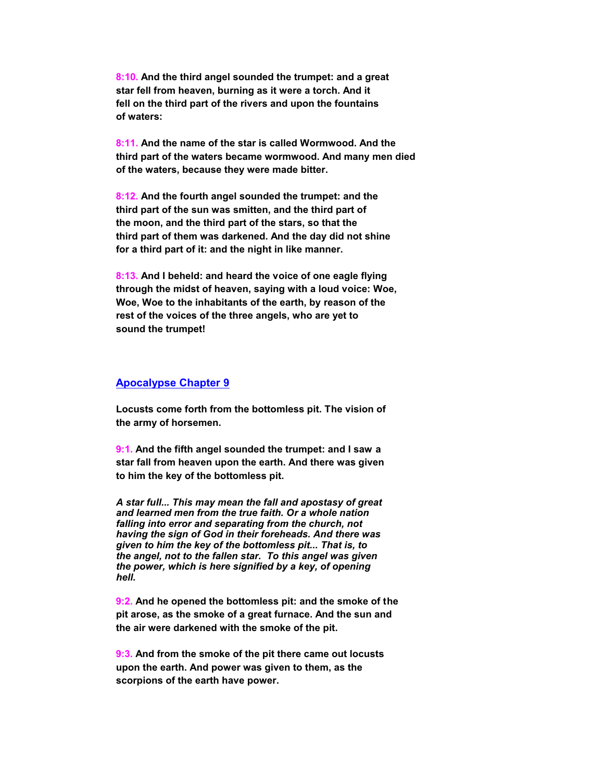**8:10. And the third angel sounded the trumpet: and a great star fell from heaven, burning as it were a torch. And it fell on the third part of the rivers and upon the fountains of waters:**

 **8:11. And the name of the star is called Wormwood. And the third part of the waters became wormwood. And many men died of the waters, because they were made bitter.**

 **8:12. And the fourth angel sounded the trumpet: and the third part of the sun was smitten, and the third part of the moon, and the third part of the stars, so that the third part of them was darkened. And the day did not shine for a third part of it: and the night in like manner.**

 **8:13. And I beheld: and heard the voice of one eagle flying through the midst of heaven, saying with a loud voice: Woe, Woe, Woe to the inhabitants of the earth, by reason of the rest of the voices of the three angels, who are yet to sound the trumpet!**

#### **Apocalypse Chapter 9**

 **Locusts come forth from the bottomless pit. The vision of the army of horsemen.**

 **9:1. And the fifth angel sounded the trumpet: and I saw a star fall from heaven upon the earth. And there was given to him the key of the bottomless pit.**

*A star full... This may mean the fall and apostasy of great and learned men from the true faith. Or a whole nation falling into error and separating from the church, not having the sign of God in their foreheads. And there was given to him the key of the bottomless pit... That is, to the angel, not to the fallen star. To this angel was given the power, which is here signified by a key, of opening hell.*

 **9:2. And he opened the bottomless pit: and the smoke of the pit arose, as the smoke of a great furnace. And the sun and the air were darkened with the smoke of the pit.**

 **9:3. And from the smoke of the pit there came out locusts upon the earth. And power was given to them, as the scorpions of the earth have power.**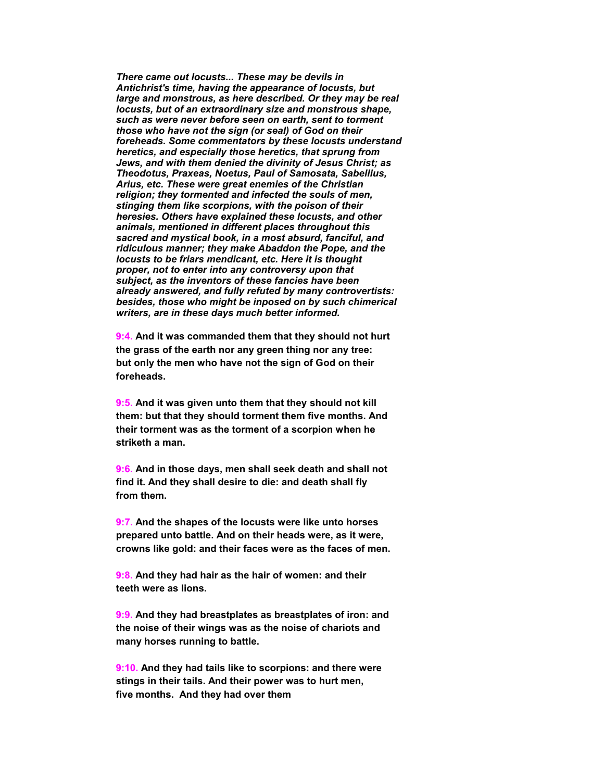*There came out locusts... These may be devils in Antichrist's time, having the appearance of locusts, but large and monstrous, as here described. Or they may be real locusts, but of an extraordinary size and monstrous shape, such as were never before seen on earth, sent to torment those who have not the sign (or seal) of God on their foreheads. Some commentators by these locusts understand heretics, and especially those heretics, that sprung from Jews, and with them denied the divinity of Jesus Christ; as Theodotus, Praxeas, Noetus, Paul of Samosata, Sabellius, Arius, etc. These were great enemies of the Christian religion; they tormented and infected the souls of men, stinging them like scorpions, with the poison of their heresies. Others have explained these locusts, and other animals, mentioned in different places throughout this sacred and mystical book, in a most absurd, fanciful, and ridiculous manner; they make Abaddon the Pope, and the locusts to be friars mendicant, etc. Here it is thought proper, not to enter into any controversy upon that subject, as the inventors of these fancies have been already answered, and fully refuted by many controvertists: besides, those who might be inposed on by such chimerical writers, are in these days much better informed.*

 **9:4. And it was commanded them that they should not hurt the grass of the earth nor any green thing nor any tree: but only the men who have not the sign of God on their foreheads.**

 **9:5. And it was given unto them that they should not kill them: but that they should torment them five months. And their torment was as the torment of a scorpion when he striketh a man.**

 **9:6. And in those days, men shall seek death and shall not find it. And they shall desire to die: and death shall fly from them.**

 **9:7. And the shapes of the locusts were like unto horses prepared unto battle. And on their heads were, as it were, crowns like gold: and their faces were as the faces of men.**

 **9:8. And they had hair as the hair of women: and their teeth were as lions.**

 **9:9. And they had breastplates as breastplates of iron: and the noise of their wings was as the noise of chariots and many horses running to battle.**

 **9:10. And they had tails like to scorpions: and there were stings in their tails. And their power was to hurt men, five months. And they had over them**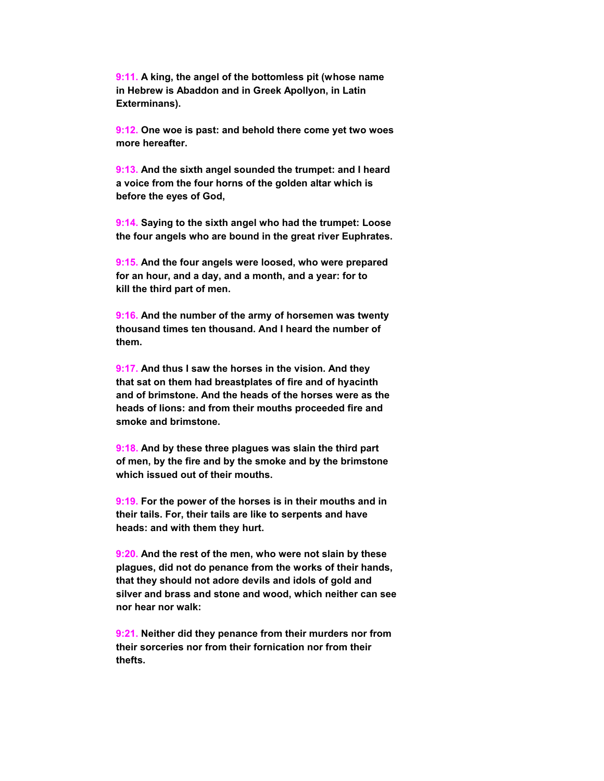**9:11. A king, the angel of the bottomless pit (whose name in Hebrew is Abaddon and in Greek Apollyon, in Latin Exterminans).**

 **9:12. One woe is past: and behold there come yet two woes more hereafter.**

 **9:13. And the sixth angel sounded the trumpet: and I heard a voice from the four horns of the golden altar which is before the eyes of God,**

 **9:14. Saying to the sixth angel who had the trumpet: Loose the four angels who are bound in the great river Euphrates.**

 **9:15. And the four angels were loosed, who were prepared for an hour, and a day, and a month, and a year: for to kill the third part of men.**

 **9:16. And the number of the army of horsemen was twenty thousand times ten thousand. And I heard the number of them.**

 **9:17. And thus I saw the horses in the vision. And they that sat on them had breastplates of fire and of hyacinth and of brimstone. And the heads of the horses were as the heads of lions: and from their mouths proceeded fire and smoke and brimstone.**

 **9:18. And by these three plagues was slain the third part of men, by the fire and by the smoke and by the brimstone which issued out of their mouths.**

 **9:19. For the power of the horses is in their mouths and in their tails. For, their tails are like to serpents and have heads: and with them they hurt.**

 **9:20. And the rest of the men, who were not slain by these plagues, did not do penance from the works of their hands, that they should not adore devils and idols of gold and silver and brass and stone and wood, which neither can see nor hear nor walk:**

 **9:21. Neither did they penance from their murders nor from their sorceries nor from their fornication nor from their thefts.**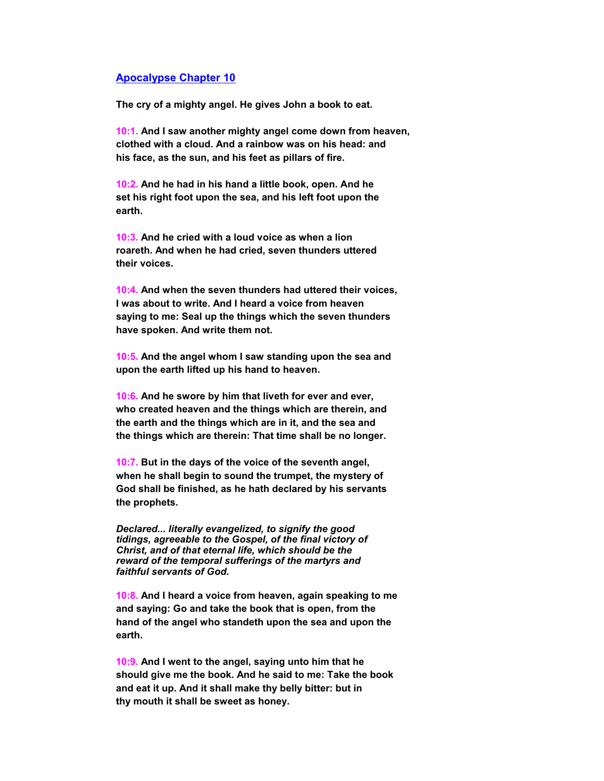#### **Apocalypse Chapter 10**

 **The cry of a mighty angel. He gives John a book to eat.**

 **10:1. And I saw another mighty angel come down from heaven, clothed with a cloud. And a rainbow was on his head: and his face, as the sun, and his feet as pillars of fire.**

 **10:2. And he had in his hand a little book, open. And he set his right foot upon the sea, and his left foot upon the earth.**

 **10:3. And he cried with a loud voice as when a lion roareth. And when he had cried, seven thunders uttered their voices.**

 **10:4. And when the seven thunders had uttered their voices, I was about to write. And I heard a voice from heaven saying to me: Seal up the things which the seven thunders have spoken. And write them not.**

 **10:5. And the angel whom I saw standing upon the sea and upon the earth lifted up his hand to heaven.**

 **10:6. And he swore by him that liveth for ever and ever, who created heaven and the things which are therein, and the earth and the things which are in it, and the sea and the things which are therein: That time shall be no longer.**

 **10:7. But in the days of the voice of the seventh angel, when he shall begin to sound the trumpet, the mystery of God shall be finished, as he hath declared by his servants the prophets.**

*Declared... literally evangelized, to signify the good tidings, agreeable to the Gospel, of the final victory of Christ, and of that eternal life, which should be the reward of the temporal sufferings of the martyrs and faithful servants of God.*

 **10:8. And I heard a voice from heaven, again speaking to me and saying: Go and take the book that is open, from the hand of the angel who standeth upon the sea and upon the earth.**

 **10:9. And I went to the angel, saying unto him that he should give me the book. And he said to me: Take the book and eat it up. And it shall make thy belly bitter: but in thy mouth it shall be sweet as honey.**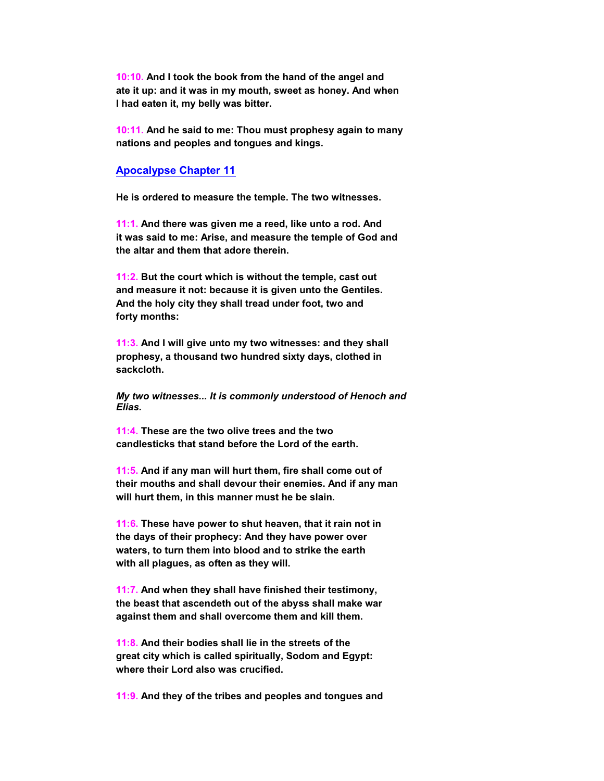**10:10. And I took the book from the hand of the angel and ate it up: and it was in my mouth, sweet as honey. And when I had eaten it, my belly was bitter.**

 **10:11. And he said to me: Thou must prophesy again to many nations and peoples and tongues and kings.**

#### **Apocalypse Chapter 11**

 **He is ordered to measure the temple. The two witnesses.**

 **11:1. And there was given me a reed, like unto a rod. And it was said to me: Arise, and measure the temple of God and the altar and them that adore therein.**

 **11:2. But the court which is without the temple, cast out and measure it not: because it is given unto the Gentiles. And the holy city they shall tread under foot, two and forty months:**

 **11:3. And I will give unto my two witnesses: and they shall prophesy, a thousand two hundred sixty days, clothed in sackcloth.**

*My two witnesses... It is commonly understood of Henoch and Elias.*

 **11:4. These are the two olive trees and the two candlesticks that stand before the Lord of the earth.**

 **11:5. And if any man will hurt them, fire shall come out of their mouths and shall devour their enemies. And if any man will hurt them, in this manner must he be slain.**

 **11:6. These have power to shut heaven, that it rain not in the days of their prophecy: And they have power over waters, to turn them into blood and to strike the earth with all plagues, as often as they will.**

 **11:7. And when they shall have finished their testimony, the beast that ascendeth out of the abyss shall make war against them and shall overcome them and kill them.**

 **11:8. And their bodies shall lie in the streets of the great city which is called spiritually, Sodom and Egypt: where their Lord also was crucified.**

 **11:9. And they of the tribes and peoples and tongues and**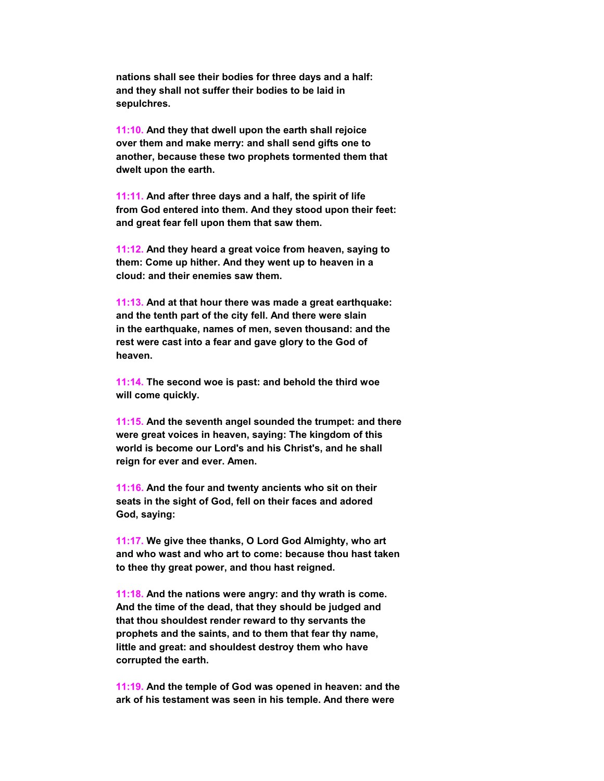**nations shall see their bodies for three days and a half: and they shall not suffer their bodies to be laid in sepulchres.**

 **11:10. And they that dwell upon the earth shall rejoice over them and make merry: and shall send gifts one to another, because these two prophets tormented them that dwelt upon the earth.**

 **11:11. And after three days and a half, the spirit of life from God entered into them. And they stood upon their feet: and great fear fell upon them that saw them.**

 **11:12. And they heard a great voice from heaven, saying to them: Come up hither. And they went up to heaven in a cloud: and their enemies saw them.**

 **11:13. And at that hour there was made a great earthquake: and the tenth part of the city fell. And there were slain in the earthquake, names of men, seven thousand: and the rest were cast into a fear and gave glory to the God of heaven.**

 **11:14. The second woe is past: and behold the third woe will come quickly.**

 **11:15. And the seventh angel sounded the trumpet: and there were great voices in heaven, saying: The kingdom of this world is become our Lord's and his Christ's, and he shall reign for ever and ever. Amen.**

 **11:16. And the four and twenty ancients who sit on their seats in the sight of God, fell on their faces and adored God, saying:**

 **11:17. We give thee thanks, O Lord God Almighty, who art and who wast and who art to come: because thou hast taken to thee thy great power, and thou hast reigned.**

 **11:18. And the nations were angry: and thy wrath is come. And the time of the dead, that they should be judged and that thou shouldest render reward to thy servants the prophets and the saints, and to them that fear thy name, little and great: and shouldest destroy them who have corrupted the earth.**

 **11:19. And the temple of God was opened in heaven: and the ark of his testament was seen in his temple. And there were**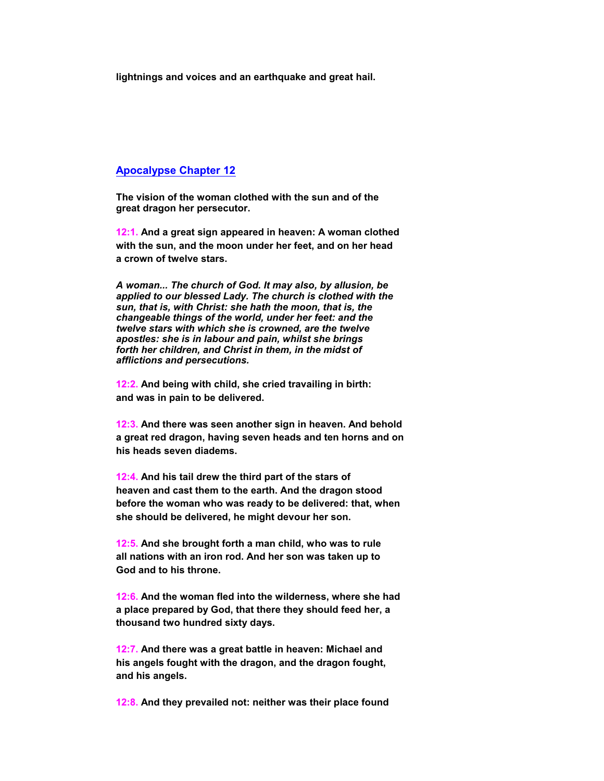**lightnings and voices and an earthquake and great hail.**

## **Apocalypse Chapter 12**

 **The vision of the woman clothed with the sun and of the great dragon her persecutor.**

 **12:1. And a great sign appeared in heaven: A woman clothed with the sun, and the moon under her feet, and on her head a crown of twelve stars.**

*A woman... The church of God. It may also, by allusion, be applied to our blessed Lady. The church is clothed with the sun, that is, with Christ: she hath the moon, that is, the changeable things of the world, under her feet: and the twelve stars with which she is crowned, are the twelve apostles: she is in labour and pain, whilst she brings forth her children, and Christ in them, in the midst of afflictions and persecutions.*

 **12:2. And being with child, she cried travailing in birth: and was in pain to be delivered.**

 **12:3. And there was seen another sign in heaven. And behold a great red dragon, having seven heads and ten horns and on his heads seven diadems.**

 **12:4. And his tail drew the third part of the stars of heaven and cast them to the earth. And the dragon stood before the woman who was ready to be delivered: that, when she should be delivered, he might devour her son.**

 **12:5. And she brought forth a man child, who was to rule all nations with an iron rod. And her son was taken up to God and to his throne.**

 **12:6. And the woman fled into the wilderness, where she had a place prepared by God, that there they should feed her, a thousand two hundred sixty days.**

 **12:7. And there was a great battle in heaven: Michael and his angels fought with the dragon, and the dragon fought, and his angels.**

 **12:8. And they prevailed not: neither was their place found**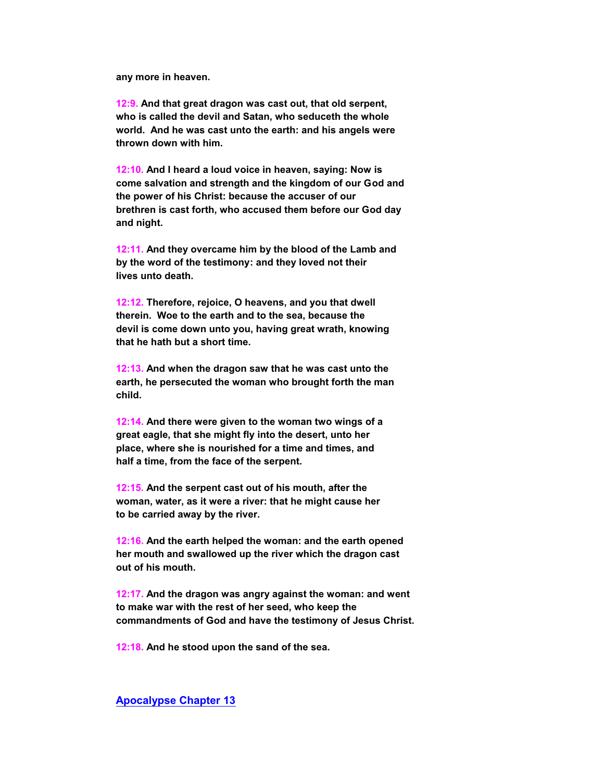**any more in heaven.**

 **12:9. And that great dragon was cast out, that old serpent, who is called the devil and Satan, who seduceth the whole world. And he was cast unto the earth: and his angels were thrown down with him.**

 **12:10. And I heard a loud voice in heaven, saying: Now is come salvation and strength and the kingdom of our God and the power of his Christ: because the accuser of our brethren is cast forth, who accused them before our God day and night.**

 **12:11. And they overcame him by the blood of the Lamb and by the word of the testimony: and they loved not their lives unto death.**

 **12:12. Therefore, rejoice, O heavens, and you that dwell therein. Woe to the earth and to the sea, because the devil is come down unto you, having great wrath, knowing that he hath but a short time.**

 **12:13. And when the dragon saw that he was cast unto the earth, he persecuted the woman who brought forth the man child.**

 **12:14. And there were given to the woman two wings of a great eagle, that she might fly into the desert, unto her place, where she is nourished for a time and times, and half a time, from the face of the serpent.**

 **12:15. And the serpent cast out of his mouth, after the woman, water, as it were a river: that he might cause her to be carried away by the river.**

 **12:16. And the earth helped the woman: and the earth opened her mouth and swallowed up the river which the dragon cast out of his mouth.**

 **12:17. And the dragon was angry against the woman: and went to make war with the rest of her seed, who keep the commandments of God and have the testimony of Jesus Christ.**

 **12:18. And he stood upon the sand of the sea.**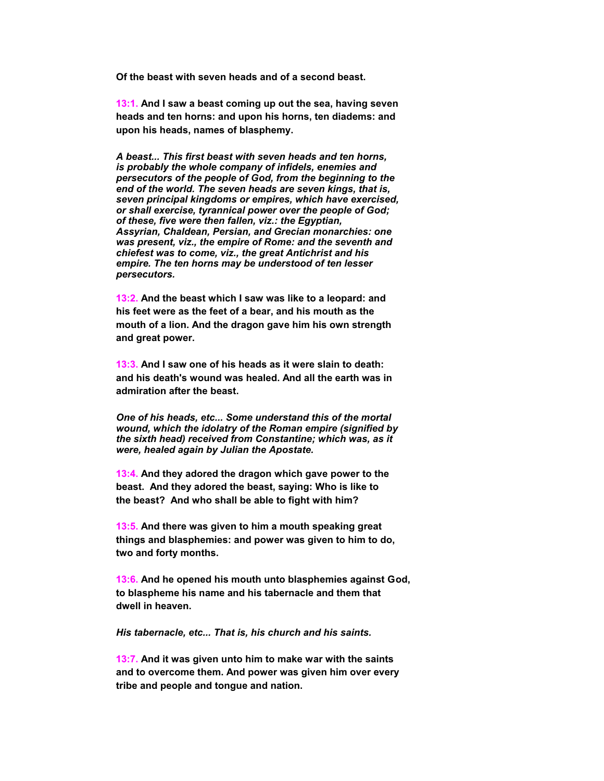**Of the beast with seven heads and of a second beast.**

 **13:1. And I saw a beast coming up out the sea, having seven heads and ten horns: and upon his horns, ten diadems: and upon his heads, names of blasphemy.**

*A beast... This first beast with seven heads and ten horns, is probably the whole company of infidels, enemies and persecutors of the people of God, from the beginning to the end of the world. The seven heads are seven kings, that is, seven principal kingdoms or empires, which have exercised, or shall exercise, tyrannical power over the people of God; of these, five were then fallen, viz.: the Egyptian, Assyrian, Chaldean, Persian, and Grecian monarchies: one was present, viz., the empire of Rome: and the seventh and chiefest was to come, viz., the great Antichrist and his empire. The ten horns may be understood of ten lesser persecutors.*

 **13:2. And the beast which I saw was like to a leopard: and his feet were as the feet of a bear, and his mouth as the mouth of a lion. And the dragon gave him his own strength and great power.**

 **13:3. And I saw one of his heads as it were slain to death: and his death's wound was healed. And all the earth was in admiration after the beast.**

*One of his heads, etc... Some understand this of the mortal wound, which the idolatry of the Roman empire (signified by the sixth head) received from Constantine; which was, as it were, healed again by Julian the Apostate.*

 **13:4. And they adored the dragon which gave power to the beast. And they adored the beast, saying: Who is like to the beast? And who shall be able to fight with him?**

 **13:5. And there was given to him a mouth speaking great things and blasphemies: and power was given to him to do, two and forty months.**

 **13:6. And he opened his mouth unto blasphemies against God, to blaspheme his name and his tabernacle and them that dwell in heaven.**

*His tabernacle, etc... That is, his church and his saints.*

 **13:7. And it was given unto him to make war with the saints and to overcome them. And power was given him over every tribe and people and tongue and nation.**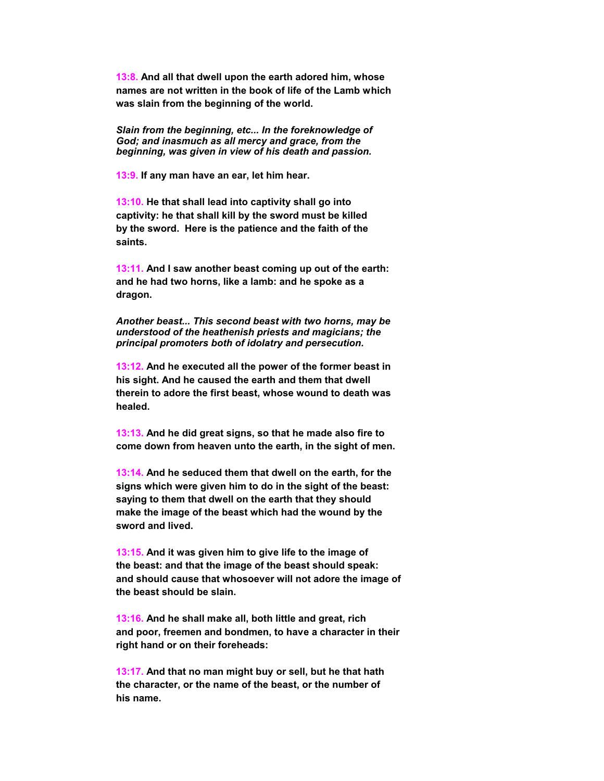**13:8. And all that dwell upon the earth adored him, whose names are not written in the book of life of the Lamb which was slain from the beginning of the world.**

*Slain from the beginning, etc... In the foreknowledge of God; and inasmuch as all mercy and grace, from the beginning, was given in view of his death and passion.*

 **13:9. If any man have an ear, let him hear.**

 **13:10. He that shall lead into captivity shall go into captivity: he that shall kill by the sword must be killed by the sword. Here is the patience and the faith of the saints.**

 **13:11. And I saw another beast coming up out of the earth: and he had two horns, like a lamb: and he spoke as a dragon.**

*Another beast... This second beast with two horns, may be understood of the heathenish priests and magicians; the principal promoters both of idolatry and persecution.*

 **13:12. And he executed all the power of the former beast in his sight. And he caused the earth and them that dwell therein to adore the first beast, whose wound to death was healed.**

 **13:13. And he did great signs, so that he made also fire to come down from heaven unto the earth, in the sight of men.**

 **13:14. And he seduced them that dwell on the earth, for the signs which were given him to do in the sight of the beast: saying to them that dwell on the earth that they should make the image of the beast which had the wound by the sword and lived.**

 **13:15. And it was given him to give life to the image of the beast: and that the image of the beast should speak: and should cause that whosoever will not adore the image of the beast should be slain.**

 **13:16. And he shall make all, both little and great, rich and poor, freemen and bondmen, to have a character in their right hand or on their foreheads:**

 **13:17. And that no man might buy or sell, but he that hath the character, or the name of the beast, or the number of his name.**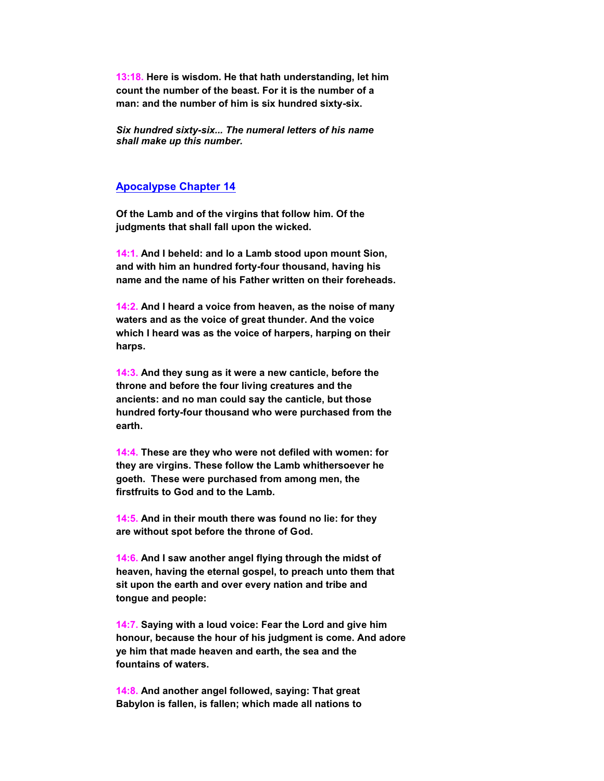**13:18. Here is wisdom. He that hath understanding, let him count the number of the beast. For it is the number of a man: and the number of him is six hundred sixty-six.**

*Six hundred sixty-six... The numeral letters of his name shall make up this number.*

#### **Apocalypse Chapter 14**

 **Of the Lamb and of the virgins that follow him. Of the judgments that shall fall upon the wicked.**

 **14:1. And I beheld: and lo a Lamb stood upon mount Sion, and with him an hundred forty-four thousand, having his name and the name of his Father written on their foreheads.**

 **14:2. And I heard a voice from heaven, as the noise of many waters and as the voice of great thunder. And the voice which I heard was as the voice of harpers, harping on their harps.**

 **14:3. And they sung as it were a new canticle, before the throne and before the four living creatures and the ancients: and no man could say the canticle, but those hundred forty-four thousand who were purchased from the earth.**

 **14:4. These are they who were not defiled with women: for they are virgins. These follow the Lamb whithersoever he goeth. These were purchased from among men, the firstfruits to God and to the Lamb.**

 **14:5. And in their mouth there was found no lie: for they are without spot before the throne of God.**

 **14:6. And I saw another angel flying through the midst of heaven, having the eternal gospel, to preach unto them that sit upon the earth and over every nation and tribe and tongue and people:**

 **14:7. Saying with a loud voice: Fear the Lord and give him honour, because the hour of his judgment is come. And adore ye him that made heaven and earth, the sea and the fountains of waters.**

 **14:8. And another angel followed, saying: That great Babylon is fallen, is fallen; which made all nations to**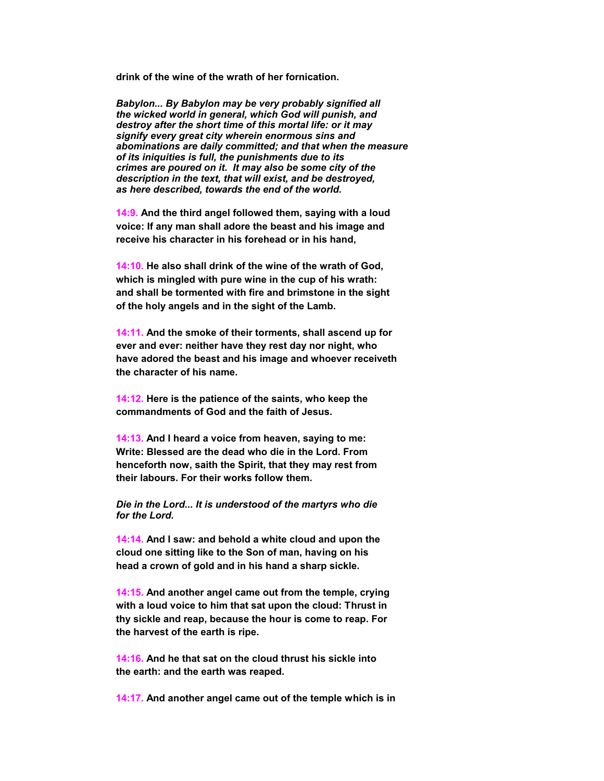**drink of the wine of the wrath of her fornication.**

*Babylon... By Babylon may be very probably signified all the wicked world in general, which God will punish, and destroy after the short time of this mortal life: or it may signify every great city wherein enormous sins and abominations are daily committed; and that when the measure of its iniquities is full, the punishments due to its crimes are poured on it. It may also be some city of the description in the text, that will exist, and be destroyed, as here described, towards the end of the world.*

 **14:9. And the third angel followed them, saying with a loud voice: If any man shall adore the beast and his image and receive his character in his forehead or in his hand,**

 **14:10. He also shall drink of the wine of the wrath of God, which is mingled with pure wine in the cup of his wrath: and shall be tormented with fire and brimstone in the sight of the holy angels and in the sight of the Lamb.**

 **14:11. And the smoke of their torments, shall ascend up for ever and ever: neither have they rest day nor night, who have adored the beast and his image and whoever receiveth the character of his name.**

 **14:12. Here is the patience of the saints, who keep the commandments of God and the faith of Jesus.**

 **14:13. And I heard a voice from heaven, saying to me: Write: Blessed are the dead who die in the Lord. From henceforth now, saith the Spirit, that they may rest from their labours. For their works follow them.**

*Die in the Lord... It is understood of the martyrs who die for the Lord.*

 **14:14. And I saw: and behold a white cloud and upon the cloud one sitting like to the Son of man, having on his head a crown of gold and in his hand a sharp sickle.**

 **14:15. And another angel came out from the temple, crying with a loud voice to him that sat upon the cloud: Thrust in thy sickle and reap, because the hour is come to reap. For the harvest of the earth is ripe.**

 **14:16. And he that sat on the cloud thrust his sickle into the earth: and the earth was reaped.**

 **14:17. And another angel came out of the temple which is in**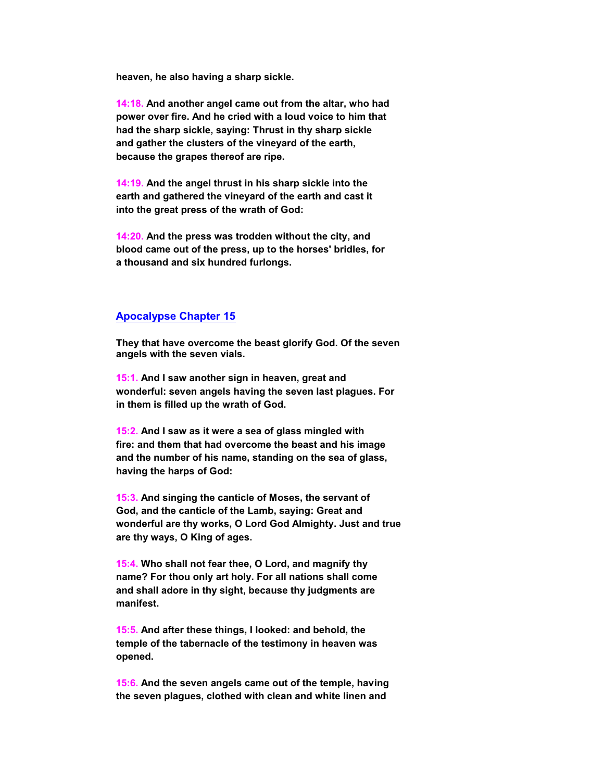**heaven, he also having a sharp sickle.**

 **14:18. And another angel came out from the altar, who had power over fire. And he cried with a loud voice to him that had the sharp sickle, saying: Thrust in thy sharp sickle and gather the clusters of the vineyard of the earth, because the grapes thereof are ripe.**

 **14:19. And the angel thrust in his sharp sickle into the earth and gathered the vineyard of the earth and cast it into the great press of the wrath of God:**

 **14:20. And the press was trodden without the city, and blood came out of the press, up to the horses' bridles, for a thousand and six hundred furlongs.**

#### **Apocalypse Chapter 15**

 **They that have overcome the beast glorify God. Of the seven angels with the seven vials.**

 **15:1. And I saw another sign in heaven, great and wonderful: seven angels having the seven last plagues. For in them is filled up the wrath of God.**

 **15:2. And I saw as it were a sea of glass mingled with fire: and them that had overcome the beast and his image and the number of his name, standing on the sea of glass, having the harps of God:**

 **15:3. And singing the canticle of Moses, the servant of God, and the canticle of the Lamb, saying: Great and wonderful are thy works, O Lord God Almighty. Just and true are thy ways, O King of ages.**

 **15:4. Who shall not fear thee, O Lord, and magnify thy name? For thou only art holy. For all nations shall come and shall adore in thy sight, because thy judgments are manifest.**

 **15:5. And after these things, I looked: and behold, the temple of the tabernacle of the testimony in heaven was opened.**

 **15:6. And the seven angels came out of the temple, having the seven plagues, clothed with clean and white linen and**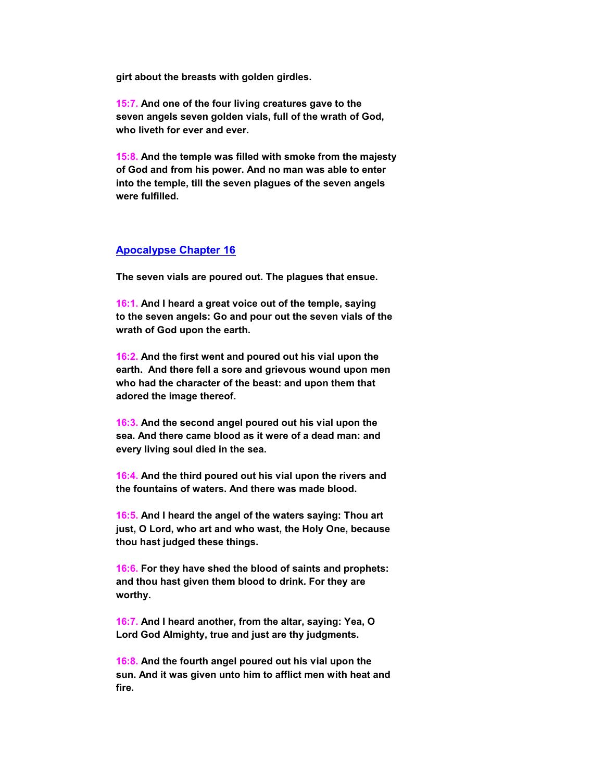**girt about the breasts with golden girdles.**

 **15:7. And one of the four living creatures gave to the seven angels seven golden vials, full of the wrath of God, who liveth for ever and ever.**

 **15:8. And the temple was filled with smoke from the majesty of God and from his power. And no man was able to enter into the temple, till the seven plagues of the seven angels were fulfilled.**

#### **Apocalypse Chapter 16**

 **The seven vials are poured out. The plagues that ensue.**

 **16:1. And I heard a great voice out of the temple, saying to the seven angels: Go and pour out the seven vials of the wrath of God upon the earth.**

 **16:2. And the first went and poured out his vial upon the earth. And there fell a sore and grievous wound upon men who had the character of the beast: and upon them that adored the image thereof.**

 **16:3. And the second angel poured out his vial upon the sea. And there came blood as it were of a dead man: and every living soul died in the sea.**

 **16:4. And the third poured out his vial upon the rivers and the fountains of waters. And there was made blood.**

 **16:5. And I heard the angel of the waters saying: Thou art just, O Lord, who art and who wast, the Holy One, because thou hast judged these things.**

 **16:6. For they have shed the blood of saints and prophets: and thou hast given them blood to drink. For they are worthy.**

 **16:7. And I heard another, from the altar, saying: Yea, O Lord God Almighty, true and just are thy judgments.**

 **16:8. And the fourth angel poured out his vial upon the sun. And it was given unto him to afflict men with heat and fire.**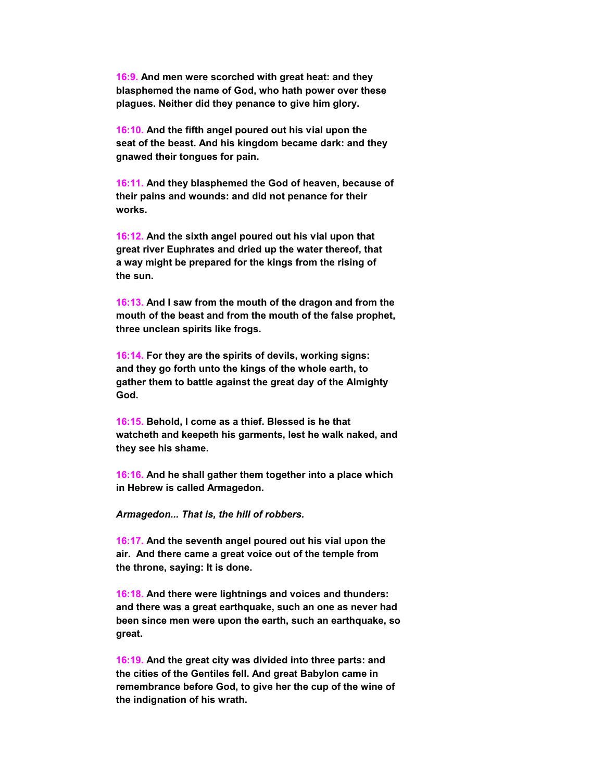**16:9. And men were scorched with great heat: and they blasphemed the name of God, who hath power over these plagues. Neither did they penance to give him glory.**

 **16:10. And the fifth angel poured out his vial upon the seat of the beast. And his kingdom became dark: and they gnawed their tongues for pain.**

 **16:11. And they blasphemed the God of heaven, because of their pains and wounds: and did not penance for their works.**

 **16:12. And the sixth angel poured out his vial upon that great river Euphrates and dried up the water thereof, that a way might be prepared for the kings from the rising of the sun.**

 **16:13. And I saw from the mouth of the dragon and from the mouth of the beast and from the mouth of the false prophet, three unclean spirits like frogs.**

 **16:14. For they are the spirits of devils, working signs: and they go forth unto the kings of the whole earth, to gather them to battle against the great day of the Almighty God.**

 **16:15. Behold, I come as a thief. Blessed is he that watcheth and keepeth his garments, lest he walk naked, and they see his shame.**

 **16:16. And he shall gather them together into a place which in Hebrew is called Armagedon.**

*Armagedon... That is, the hill of robbers.*

 **16:17. And the seventh angel poured out his vial upon the air. And there came a great voice out of the temple from the throne, saying: It is done.**

 **16:18. And there were lightnings and voices and thunders: and there was a great earthquake, such an one as never had been since men were upon the earth, such an earthquake, so great.**

 **16:19. And the great city was divided into three parts: and the cities of the Gentiles fell. And great Babylon came in remembrance before God, to give her the cup of the wine of the indignation of his wrath.**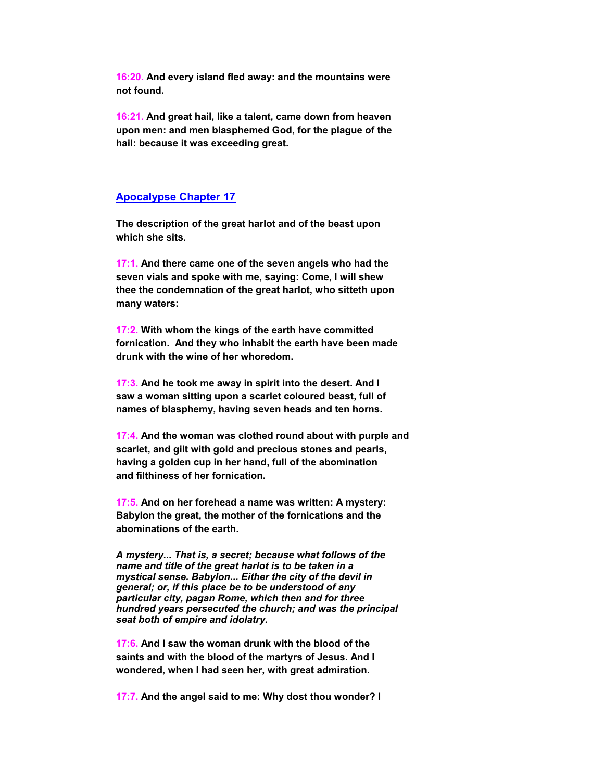**16:20. And every island fled away: and the mountains were not found.**

 **16:21. And great hail, like a talent, came down from heaven upon men: and men blasphemed God, for the plague of the hail: because it was exceeding great.**

#### **Apocalypse Chapter 17**

 **The description of the great harlot and of the beast upon which she sits.**

 **17:1. And there came one of the seven angels who had the seven vials and spoke with me, saying: Come, I will shew thee the condemnation of the great harlot, who sitteth upon many waters:**

 **17:2. With whom the kings of the earth have committed fornication. And they who inhabit the earth have been made drunk with the wine of her whoredom.**

 **17:3. And he took me away in spirit into the desert. And I saw a woman sitting upon a scarlet coloured beast, full of names of blasphemy, having seven heads and ten horns.**

 **17:4. And the woman was clothed round about with purple and scarlet, and gilt with gold and precious stones and pearls, having a golden cup in her hand, full of the abomination and filthiness of her fornication.**

 **17:5. And on her forehead a name was written: A mystery: Babylon the great, the mother of the fornications and the abominations of the earth.**

*A mystery... That is, a secret; because what follows of the name and title of the great harlot is to be taken in a mystical sense. Babylon... Either the city of the devil in general; or, if this place be to be understood of any particular city, pagan Rome, which then and for three hundred years persecuted the church; and was the principal seat both of empire and idolatry.*

 **17:6. And I saw the woman drunk with the blood of the saints and with the blood of the martyrs of Jesus. And I wondered, when I had seen her, with great admiration.**

 **17:7. And the angel said to me: Why dost thou wonder? I**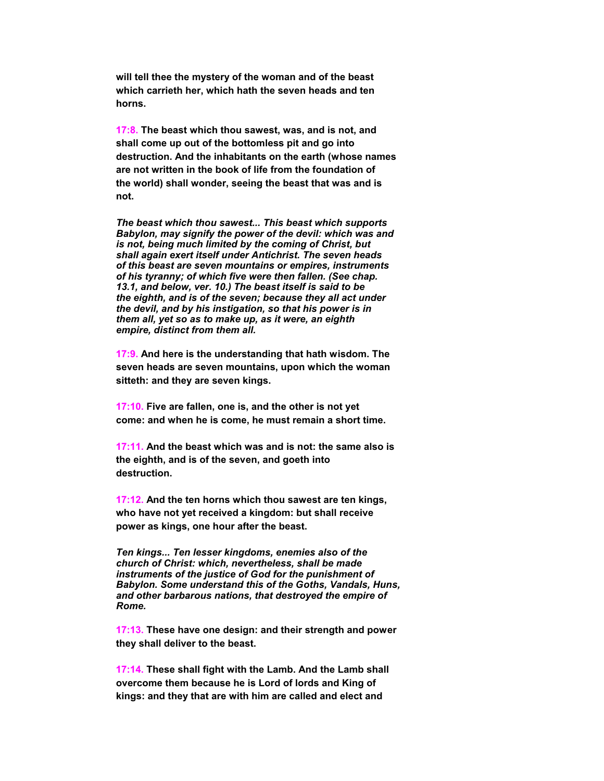**will tell thee the mystery of the woman and of the beast which carrieth her, which hath the seven heads and ten horns.**

 **17:8. The beast which thou sawest, was, and is not, and shall come up out of the bottomless pit and go into destruction. And the inhabitants on the earth (whose names are not written in the book of life from the foundation of the world) shall wonder, seeing the beast that was and is not.**

*The beast which thou sawest... This beast which supports Babylon, may signify the power of the devil: which was and is not, being much limited by the coming of Christ, but shall again exert itself under Antichrist. The seven heads of this beast are seven mountains or empires, instruments of his tyranny; of which five were then fallen. (See chap. 13.1, and below, ver. 10.) The beast itself is said to be the eighth, and is of the seven; because they all act under the devil, and by his instigation, so that his power is in them all, yet so as to make up, as it were, an eighth empire, distinct from them all.*

 **17:9. And here is the understanding that hath wisdom. The seven heads are seven mountains, upon which the woman sitteth: and they are seven kings.**

 **17:10. Five are fallen, one is, and the other is not yet come: and when he is come, he must remain a short time.**

 **17:11. And the beast which was and is not: the same also is the eighth, and is of the seven, and goeth into destruction.**

 **17:12. And the ten horns which thou sawest are ten kings, who have not yet received a kingdom: but shall receive power as kings, one hour after the beast.**

*Ten kings... Ten lesser kingdoms, enemies also of the church of Christ: which, nevertheless, shall be made instruments of the justice of God for the punishment of Babylon. Some understand this of the Goths, Vandals, Huns, and other barbarous nations, that destroyed the empire of Rome.*

 **17:13. These have one design: and their strength and power they shall deliver to the beast.**

 **17:14. These shall fight with the Lamb. And the Lamb shall overcome them because he is Lord of lords and King of kings: and they that are with him are called and elect and**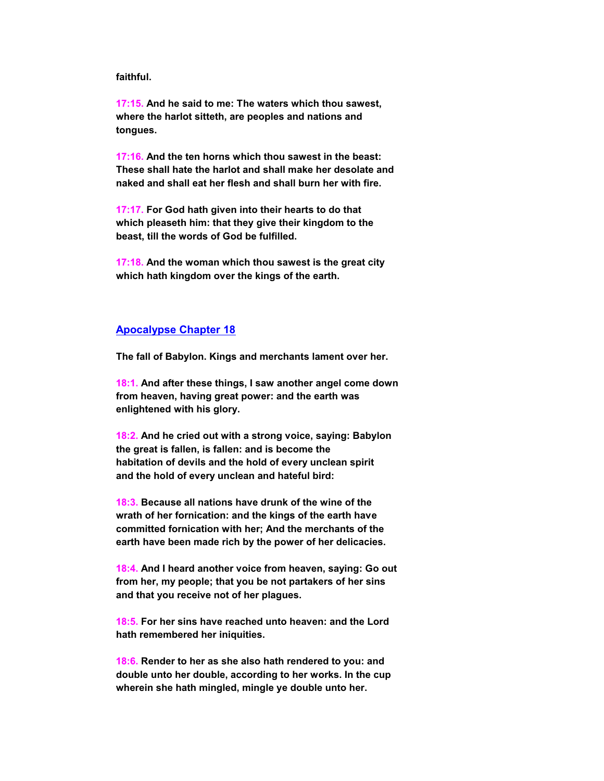#### **faithful.**

 **17:15. And he said to me: The waters which thou sawest, where the harlot sitteth, are peoples and nations and tongues.**

 **17:16. And the ten horns which thou sawest in the beast: These shall hate the harlot and shall make her desolate and naked and shall eat her flesh and shall burn her with fire.**

 **17:17. For God hath given into their hearts to do that which pleaseth him: that they give their kingdom to the beast, till the words of God be fulfilled.**

 **17:18. And the woman which thou sawest is the great city which hath kingdom over the kings of the earth.**

#### **Apocalypse Chapter 18**

 **The fall of Babylon. Kings and merchants lament over her.**

 **18:1. And after these things, I saw another angel come down from heaven, having great power: and the earth was enlightened with his glory.**

 **18:2. And he cried out with a strong voice, saying: Babylon the great is fallen, is fallen: and is become the habitation of devils and the hold of every unclean spirit and the hold of every unclean and hateful bird:**

 **18:3. Because all nations have drunk of the wine of the wrath of her fornication: and the kings of the earth have committed fornication with her; And the merchants of the earth have been made rich by the power of her delicacies.**

 **18:4. And I heard another voice from heaven, saying: Go out from her, my people; that you be not partakers of her sins and that you receive not of her plagues.**

 **18:5. For her sins have reached unto heaven: and the Lord hath remembered her iniquities.**

 **18:6. Render to her as she also hath rendered to you: and double unto her double, according to her works. In the cup wherein she hath mingled, mingle ye double unto her.**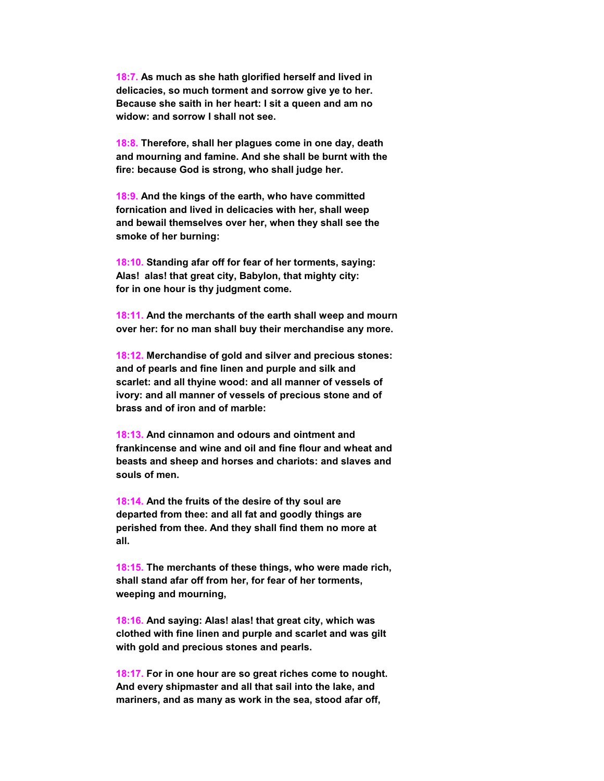**18:7. As much as she hath glorified herself and lived in delicacies, so much torment and sorrow give ye to her. Because she saith in her heart: I sit a queen and am no widow: and sorrow I shall not see.**

 **18:8. Therefore, shall her plagues come in one day, death and mourning and famine. And she shall be burnt with the fire: because God is strong, who shall judge her.**

 **18:9. And the kings of the earth, who have committed fornication and lived in delicacies with her, shall weep and bewail themselves over her, when they shall see the smoke of her burning:**

 **18:10. Standing afar off for fear of her torments, saying: Alas! alas! that great city, Babylon, that mighty city: for in one hour is thy judgment come.**

 **18:11. And the merchants of the earth shall weep and mourn over her: for no man shall buy their merchandise any more.**

 **18:12. Merchandise of gold and silver and precious stones: and of pearls and fine linen and purple and silk and scarlet: and all thyine wood: and all manner of vessels of ivory: and all manner of vessels of precious stone and of brass and of iron and of marble:**

 **18:13. And cinnamon and odours and ointment and frankincense and wine and oil and fine flour and wheat and beasts and sheep and horses and chariots: and slaves and souls of men.**

 **18:14. And the fruits of the desire of thy soul are departed from thee: and all fat and goodly things are perished from thee. And they shall find them no more at all.**

 **18:15. The merchants of these things, who were made rich, shall stand afar off from her, for fear of her torments, weeping and mourning,**

 **18:16. And saying: Alas! alas! that great city, which was clothed with fine linen and purple and scarlet and was gilt with gold and precious stones and pearls.**

 **18:17. For in one hour are so great riches come to nought. And every shipmaster and all that sail into the lake, and mariners, and as many as work in the sea, stood afar off,**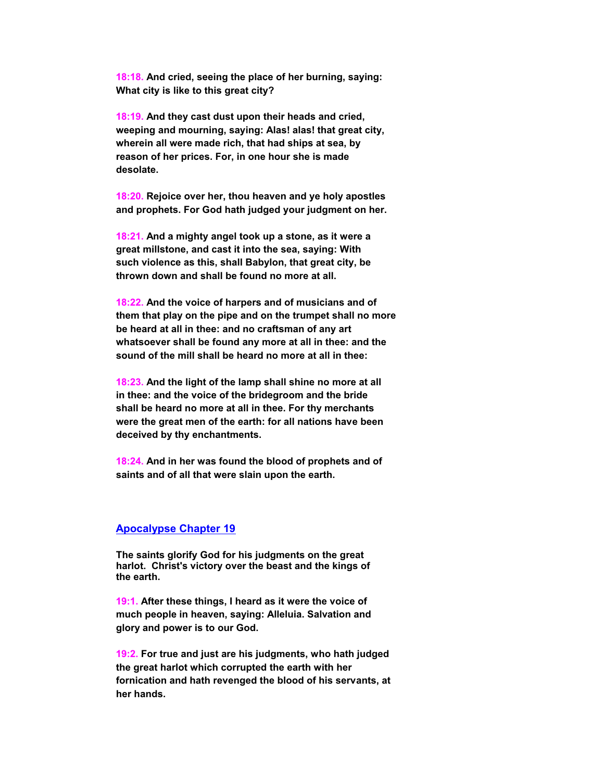**18:18. And cried, seeing the place of her burning, saying: What city is like to this great city?**

 **18:19. And they cast dust upon their heads and cried, weeping and mourning, saying: Alas! alas! that great city, wherein all were made rich, that had ships at sea, by reason of her prices. For, in one hour she is made desolate.**

 **18:20. Rejoice over her, thou heaven and ye holy apostles and prophets. For God hath judged your judgment on her.**

 **18:21. And a mighty angel took up a stone, as it were a great millstone, and cast it into the sea, saying: With such violence as this, shall Babylon, that great city, be thrown down and shall be found no more at all.**

 **18:22. And the voice of harpers and of musicians and of them that play on the pipe and on the trumpet shall no more be heard at all in thee: and no craftsman of any art whatsoever shall be found any more at all in thee: and the sound of the mill shall be heard no more at all in thee:**

 **18:23. And the light of the lamp shall shine no more at all in thee: and the voice of the bridegroom and the bride shall be heard no more at all in thee. For thy merchants were the great men of the earth: for all nations have been deceived by thy enchantments.**

 **18:24. And in her was found the blood of prophets and of saints and of all that were slain upon the earth.**

#### **Apocalypse Chapter 19**

 **The saints glorify God for his judgments on the great harlot. Christ's victory over the beast and the kings of the earth.**

 **19:1. After these things, I heard as it were the voice of much people in heaven, saying: Alleluia. Salvation and glory and power is to our God.**

 **19:2. For true and just are his judgments, who hath judged the great harlot which corrupted the earth with her fornication and hath revenged the blood of his servants, at her hands.**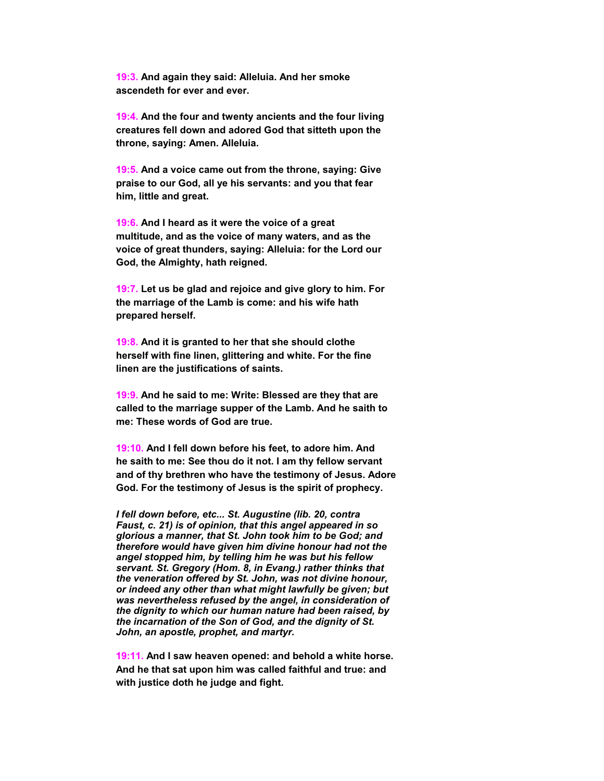**19:3. And again they said: Alleluia. And her smoke ascendeth for ever and ever.**

 **19:4. And the four and twenty ancients and the four living creatures fell down and adored God that sitteth upon the throne, saying: Amen. Alleluia.**

 **19:5. And a voice came out from the throne, saying: Give praise to our God, all ye his servants: and you that fear him, little and great.**

 **19:6. And I heard as it were the voice of a great multitude, and as the voice of many waters, and as the voice of great thunders, saying: Alleluia: for the Lord our God, the Almighty, hath reigned.**

 **19:7. Let us be glad and rejoice and give glory to him. For the marriage of the Lamb is come: and his wife hath prepared herself.**

 **19:8. And it is granted to her that she should clothe herself with fine linen, glittering and white. For the fine linen are the justifications of saints.**

 **19:9. And he said to me: Write: Blessed are they that are called to the marriage supper of the Lamb. And he saith to me: These words of God are true.**

 **19:10. And I fell down before his feet, to adore him. And he saith to me: See thou do it not. I am thy fellow servant and of thy brethren who have the testimony of Jesus. Adore God. For the testimony of Jesus is the spirit of prophecy.**

*I fell down before, etc... St. Augustine (lib. 20, contra Faust, c. 21) is of opinion, that this angel appeared in so glorious a manner, that St. John took him to be God; and therefore would have given him divine honour had not the angel stopped him, by telling him he was but his fellow servant. St. Gregory (Hom. 8, in Evang.) rather thinks that the veneration offered by St. John, was not divine honour, or indeed any other than what might lawfully be given; but was nevertheless refused by the angel, in consideration of the dignity to which our human nature had been raised, by the incarnation of the Son of God, and the dignity of St. John, an apostle, prophet, and martyr.*

 **19:11. And I saw heaven opened: and behold a white horse. And he that sat upon him was called faithful and true: and with justice doth he judge and fight.**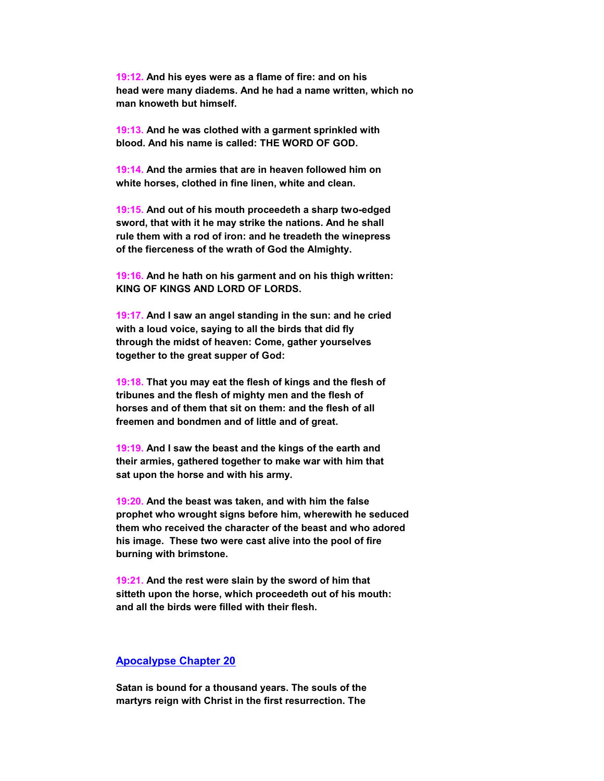**19:12. And his eyes were as a flame of fire: and on his head were many diadems. And he had a name written, which no man knoweth but himself.**

 **19:13. And he was clothed with a garment sprinkled with blood. And his name is called: THE WORD OF GOD.**

 **19:14. And the armies that are in heaven followed him on white horses, clothed in fine linen, white and clean.**

 **19:15. And out of his mouth proceedeth a sharp two-edged sword, that with it he may strike the nations. And he shall rule them with a rod of iron: and he treadeth the winepress of the fierceness of the wrath of God the Almighty.**

 **19:16. And he hath on his garment and on his thigh written: KING OF KINGS AND LORD OF LORDS.**

 **19:17. And I saw an angel standing in the sun: and he cried with a loud voice, saying to all the birds that did fly through the midst of heaven: Come, gather yourselves together to the great supper of God:**

 **19:18. That you may eat the flesh of kings and the flesh of tribunes and the flesh of mighty men and the flesh of horses and of them that sit on them: and the flesh of all freemen and bondmen and of little and of great.**

 **19:19. And I saw the beast and the kings of the earth and their armies, gathered together to make war with him that sat upon the horse and with his army.**

 **19:20. And the beast was taken, and with him the false prophet who wrought signs before him, wherewith he seduced them who received the character of the beast and who adored his image. These two were cast alive into the pool of fire burning with brimstone.**

 **19:21. And the rest were slain by the sword of him that sitteth upon the horse, which proceedeth out of his mouth: and all the birds were filled with their flesh.**

#### **Apocalypse Chapter 20**

 **Satan is bound for a thousand years. The souls of the martyrs reign with Christ in the first resurrection. The**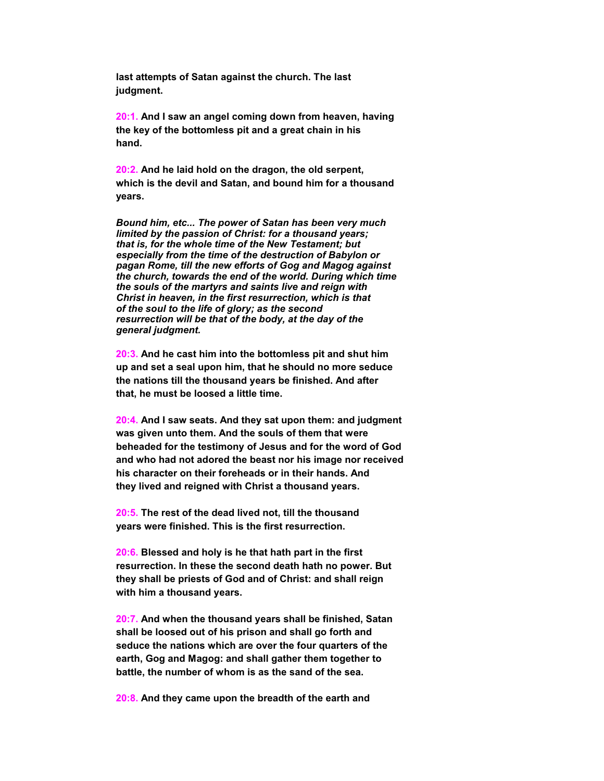**last attempts of Satan against the church. The last judgment.**

 **20:1. And I saw an angel coming down from heaven, having the key of the bottomless pit and a great chain in his hand.**

 **20:2. And he laid hold on the dragon, the old serpent, which is the devil and Satan, and bound him for a thousand years.**

*Bound him, etc... The power of Satan has been very much limited by the passion of Christ: for a thousand years; that is, for the whole time of the New Testament; but especially from the time of the destruction of Babylon or pagan Rome, till the new efforts of Gog and Magog against the church, towards the end of the world. During which time the souls of the martyrs and saints live and reign with Christ in heaven, in the first resurrection, which is that of the soul to the life of glory; as the second resurrection will be that of the body, at the day of the general judgment.*

 **20:3. And he cast him into the bottomless pit and shut him up and set a seal upon him, that he should no more seduce the nations till the thousand years be finished. And after that, he must be loosed a little time.**

 **20:4. And I saw seats. And they sat upon them: and judgment was given unto them. And the souls of them that were beheaded for the testimony of Jesus and for the word of God and who had not adored the beast nor his image nor received his character on their foreheads or in their hands. And they lived and reigned with Christ a thousand years.**

 **20:5. The rest of the dead lived not, till the thousand years were finished. This is the first resurrection.**

 **20:6. Blessed and holy is he that hath part in the first resurrection. In these the second death hath no power. But they shall be priests of God and of Christ: and shall reign with him a thousand years.**

 **20:7. And when the thousand years shall be finished, Satan shall be loosed out of his prison and shall go forth and seduce the nations which are over the four quarters of the earth, Gog and Magog: and shall gather them together to battle, the number of whom is as the sand of the sea.**

 **20:8. And they came upon the breadth of the earth and**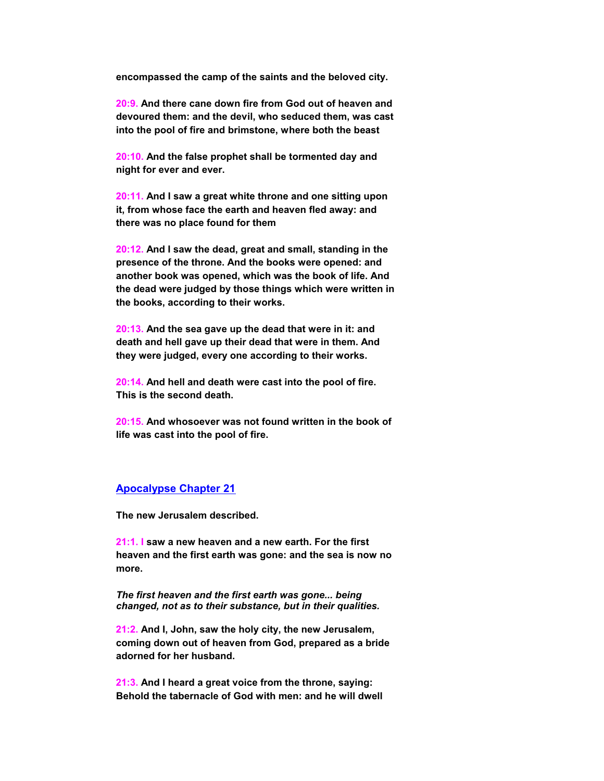**encompassed the camp of the saints and the beloved city.**

 **20:9. And there cane down fire from God out of heaven and devoured them: and the devil, who seduced them, was cast into the pool of fire and brimstone, where both the beast**

 **20:10. And the false prophet shall be tormented day and night for ever and ever.**

 **20:11. And I saw a great white throne and one sitting upon it, from whose face the earth and heaven fled away: and there was no place found for them**

 **20:12. And I saw the dead, great and small, standing in the presence of the throne. And the books were opened: and another book was opened, which was the book of life. And the dead were judged by those things which were written in the books, according to their works.**

 **20:13. And the sea gave up the dead that were in it: and death and hell gave up their dead that were in them. And they were judged, every one according to their works.**

 **20:14. And hell and death were cast into the pool of fire. This is the second death.**

 **20:15. And whosoever was not found written in the book of life was cast into the pool of fire.**

#### **Apocalypse Chapter 21**

 **The new Jerusalem described.**

 **21:1. I saw a new heaven and a new earth. For the first heaven and the first earth was gone: and the sea is now no more.**

*The first heaven and the first earth was gone... being changed, not as to their substance, but in their qualities.*

 **21:2. And I, John, saw the holy city, the new Jerusalem, coming down out of heaven from God, prepared as a bride adorned for her husband.**

 **21:3. And I heard a great voice from the throne, saying: Behold the tabernacle of God with men: and he will dwell**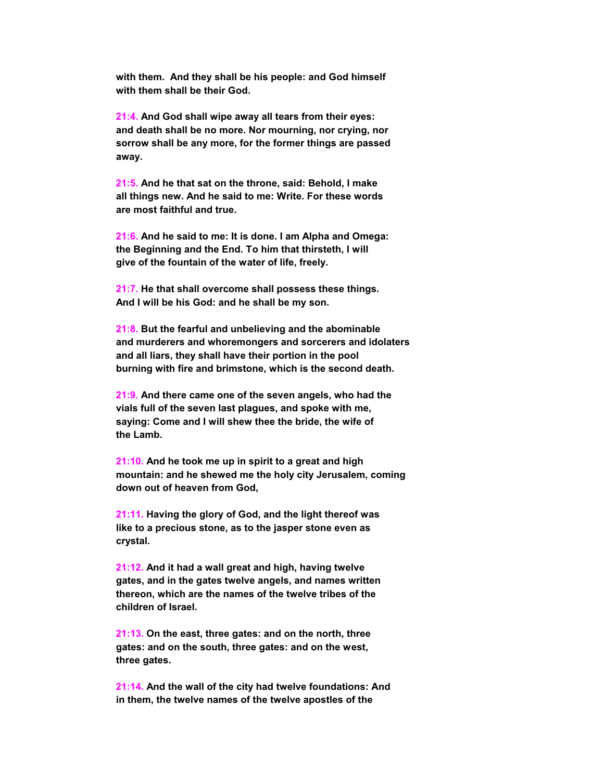**with them. And they shall be his people: and God himself with them shall be their God.**

 **21:4. And God shall wipe away all tears from their eyes: and death shall be no more. Nor mourning, nor crying, nor sorrow shall be any more, for the former things are passed away.**

 **21:5. And he that sat on the throne, said: Behold, I make all things new. And he said to me: Write. For these words are most faithful and true.**

 **21:6. And he said to me: It is done. I am Alpha and Omega: the Beginning and the End. To him that thirsteth, I will give of the fountain of the water of life, freely.**

 **21:7. He that shall overcome shall possess these things. And I will be his God: and he shall be my son.**

 **21:8. But the fearful and unbelieving and the abominable and murderers and whoremongers and sorcerers and idolaters and all liars, they shall have their portion in the pool burning with fire and brimstone, which is the second death.**

 **21:9. And there came one of the seven angels, who had the vials full of the seven last plagues, and spoke with me, saying: Come and I will shew thee the bride, the wife of the Lamb.**

 **21:10. And he took me up in spirit to a great and high mountain: and he shewed me the holy city Jerusalem, coming down out of heaven from God,**

 **21:11. Having the glory of God, and the light thereof was like to a precious stone, as to the jasper stone even as crystal.**

 **21:12. And it had a wall great and high, having twelve gates, and in the gates twelve angels, and names written thereon, which are the names of the twelve tribes of the children of Israel.**

 **21:13. On the east, three gates: and on the north, three gates: and on the south, three gates: and on the west, three gates.**

 **21:14. And the wall of the city had twelve foundations: And in them, the twelve names of the twelve apostles of the**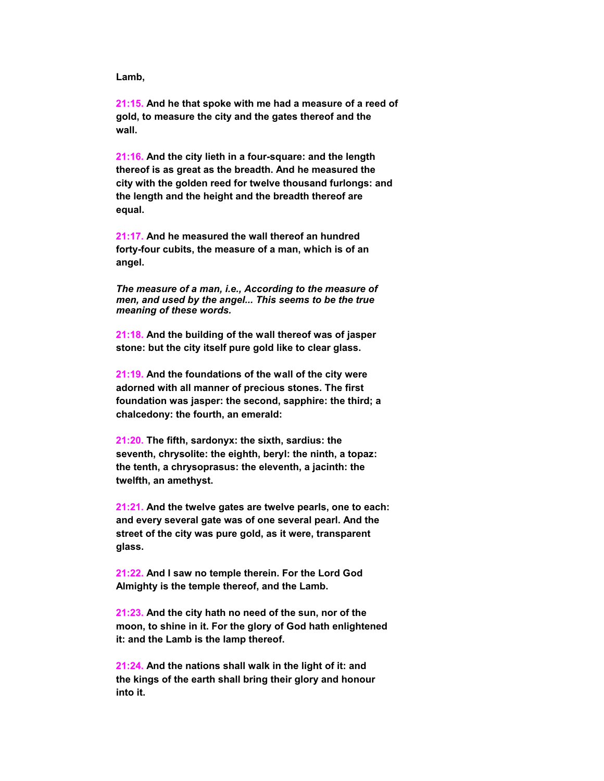**Lamb,**

 **21:15. And he that spoke with me had a measure of a reed of gold, to measure the city and the gates thereof and the wall.**

 **21:16. And the city lieth in a four-square: and the length thereof is as great as the breadth. And he measured the city with the golden reed for twelve thousand furlongs: and the length and the height and the breadth thereof are equal.**

 **21:17. And he measured the wall thereof an hundred forty-four cubits, the measure of a man, which is of an angel.**

*The measure of a man, i.e., According to the measure of men, and used by the angel... This seems to be the true meaning of these words.*

 **21:18. And the building of the wall thereof was of jasper stone: but the city itself pure gold like to clear glass.**

 **21:19. And the foundations of the wall of the city were adorned with all manner of precious stones. The first foundation was jasper: the second, sapphire: the third; a chalcedony: the fourth, an emerald:**

 **21:20. The fifth, sardonyx: the sixth, sardius: the seventh, chrysolite: the eighth, beryl: the ninth, a topaz: the tenth, a chrysoprasus: the eleventh, a jacinth: the twelfth, an amethyst.**

 **21:21. And the twelve gates are twelve pearls, one to each: and every several gate was of one several pearl. And the street of the city was pure gold, as it were, transparent glass.**

 **21:22. And I saw no temple therein. For the Lord God Almighty is the temple thereof, and the Lamb.**

 **21:23. And the city hath no need of the sun, nor of the moon, to shine in it. For the glory of God hath enlightened it: and the Lamb is the lamp thereof.**

 **21:24. And the nations shall walk in the light of it: and the kings of the earth shall bring their glory and honour into it.**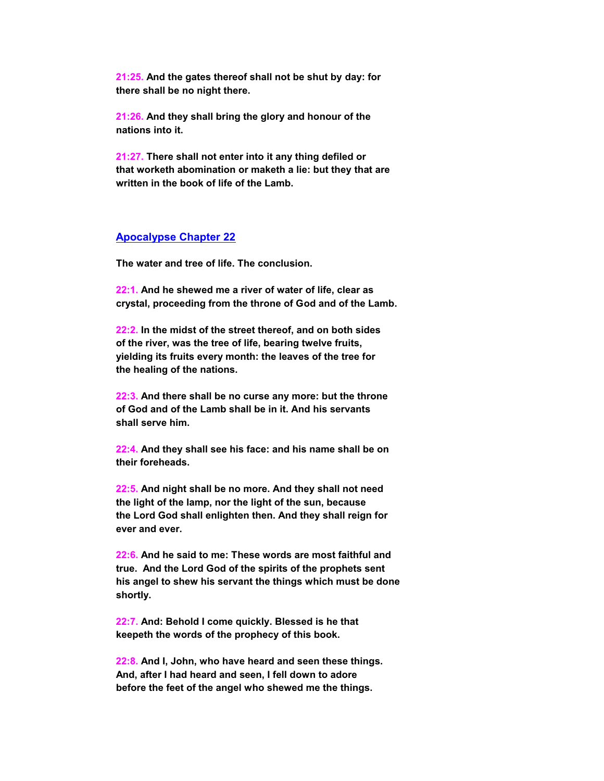**21:25. And the gates thereof shall not be shut by day: for there shall be no night there.**

 **21:26. And they shall bring the glory and honour of the nations into it.**

 **21:27. There shall not enter into it any thing defiled or that worketh abomination or maketh a lie: but they that are written in the book of life of the Lamb.**

#### **Apocalypse Chapter 22**

 **The water and tree of life. The conclusion.**

 **22:1. And he shewed me a river of water of life, clear as crystal, proceeding from the throne of God and of the Lamb.**

 **22:2. In the midst of the street thereof, and on both sides of the river, was the tree of life, bearing twelve fruits, yielding its fruits every month: the leaves of the tree for the healing of the nations.**

 **22:3. And there shall be no curse any more: but the throne of God and of the Lamb shall be in it. And his servants shall serve him.**

 **22:4. And they shall see his face: and his name shall be on their foreheads.**

 **22:5. And night shall be no more. And they shall not need the light of the lamp, nor the light of the sun, because the Lord God shall enlighten then. And they shall reign for ever and ever.**

 **22:6. And he said to me: These words are most faithful and true. And the Lord God of the spirits of the prophets sent his angel to shew his servant the things which must be done shortly.**

 **22:7. And: Behold I come quickly. Blessed is he that keepeth the words of the prophecy of this book.**

 **22:8. And I, John, who have heard and seen these things. And, after I had heard and seen, I fell down to adore before the feet of the angel who shewed me the things.**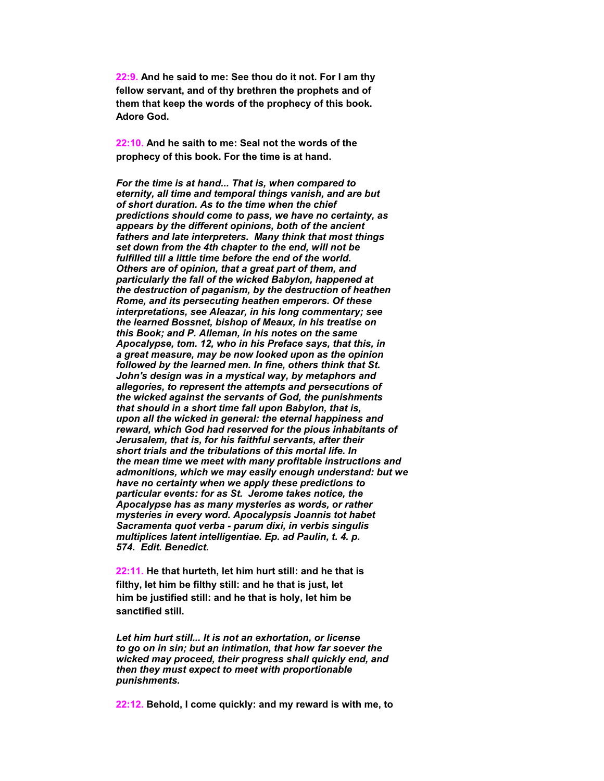**22:9. And he said to me: See thou do it not. For I am thy fellow servant, and of thy brethren the prophets and of them that keep the words of the prophecy of this book. Adore God.**

 **22:10. And he saith to me: Seal not the words of the prophecy of this book. For the time is at hand.**

*For the time is at hand... That is, when compared to eternity, all time and temporal things vanish, and are but of short duration. As to the time when the chief predictions should come to pass, we have no certainty, as appears by the different opinions, both of the ancient fathers and late interpreters. Many think that most things set down from the 4th chapter to the end, will not be fulfilled till a little time before the end of the world. Others are of opinion, that a great part of them, and particularly the fall of the wicked Babylon, happened at the destruction of paganism, by the destruction of heathen Rome, and its persecuting heathen emperors. Of these interpretations, see Aleazar, in his long commentary; see the learned Bossnet, bishop of Meaux, in his treatise on this Book; and P. Alleman, in his notes on the same Apocalypse, tom. 12, who in his Preface says, that this, in a great measure, may be now looked upon as the opinion followed by the learned men. In fine, others think that St. John's design was in a mystical way, by metaphors and allegories, to represent the attempts and persecutions of the wicked against the servants of God, the punishments that should in a short time fall upon Babylon, that is, upon all the wicked in general: the eternal happiness and reward, which God had reserved for the pious inhabitants of Jerusalem, that is, for his faithful servants, after their short trials and the tribulations of this mortal life. In the mean time we meet with many profitable instructions and admonitions, which we may easily enough understand: but we have no certainty when we apply these predictions to particular events: for as St. Jerome takes notice, the Apocalypse has as many mysteries as words, or rather mysteries in every word. Apocalypsis Joannis tot habet Sacramenta quot verba - parum dixi, in verbis singulis multiplices latent intelligentiae. Ep. ad Paulin, t. 4. p. 574. Edit. Benedict.*

 **22:11. He that hurteth, let him hurt still: and he that is filthy, let him be filthy still: and he that is just, let him be justified still: and he that is holy, let him be sanctified still.**

*Let him hurt still... It is not an exhortation, or license to go on in sin; but an intimation, that how far soever the wicked may proceed, their progress shall quickly end, and then they must expect to meet with proportionable punishments.*

 **22:12. Behold, I come quickly: and my reward is with me, to**